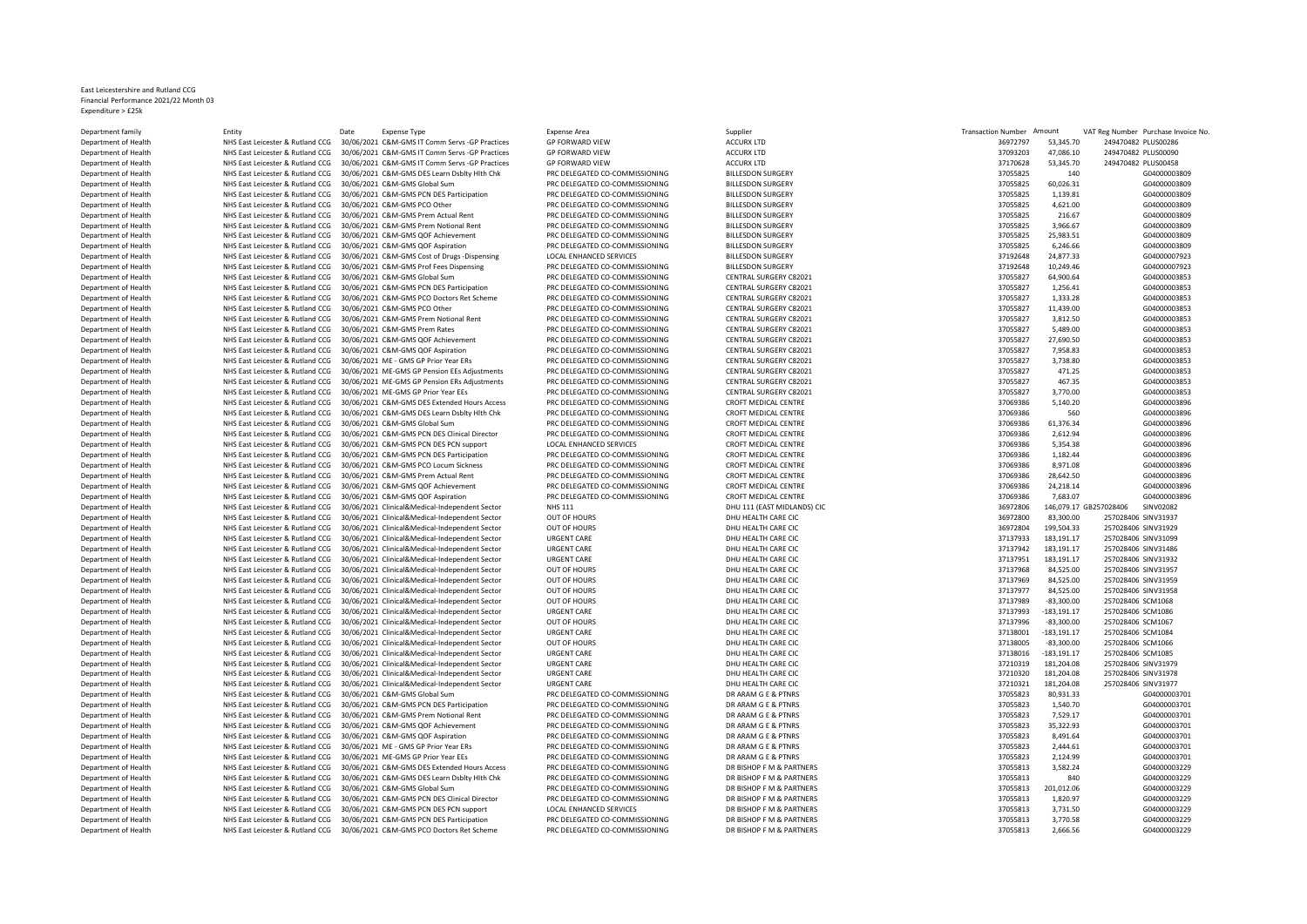## East Leicestershire and Rutland CCG Financial Performance 2021/22 Month 03 Expenditure > £25k

Department family Partment in Entity Entity Date Expense Type Expense Area Expense Area Supplier Supplier Supplier Supplier Transaction Number Amount VAT Reg Number Purchase Invoice No. Department of Health NHS East Leicester & Rutland CCG 30/06/2021 C&M-GMS IT Comm Servs -GP Practices GP FORWARD VIEW ACCURX LTD 369727 33,347.70 2494704 2494704 PLUS 000 249470482 PLUS 000 347.70 249470482 PLUS 02047048 PL Department of Health **NHS East Leicester & Rutland CCG 30/06/2021 C&M-GMS IT Comm Servs -GP Practices** GP FORWARD VIEW ACCURX LTD 37093203 47,086.1086.1086.1086.1086.1086.10870201 24,09830 37,086.10 37,086.10 249470482 PLU Department of Health NHS East Leicester & Rutland CCG 30/06/2021 C&M-GMS IT Comm Servs -GP Practices GP FORWARD VIEW ACCURX LTD ACCURX LTD ACCURX LTD 30/06/2021 C&M-GMS IT COMMERT OF PRIC DELEGATED CO-COMMISSIONING BILLESD Department of Health **NHS East Leicester & Rutland CCG 30/06/2021 C&M-GMS DES Learn Dsblty Hlth Chk** PRC DELEGATED CO-COMMISSIONING BILLESDON SURGERY 37055825 140 GMS CLANE AND COMMISSIONING BILLESDON SURGERY 37055825 2010 Department of Health NHS East Leicester & Rutland CCG 30/06/2021 C&M-GMS Global Sum PRC DELEGATED CO-COMMISSIONING BILLESDON SURGERY 38 AUCHOLOGY AND SURGERY 38 AUCHOLOGY SURGERY 30/06/2021 C&M-GMS PCN DES Participation PR Department of Health NHS East Leicester & Rutland CCG 30/06/2021 C&M-GMS PCN DES Participation PRC DELEGATED CO-COMMISSIONING BILLESDON SURGERY 37055825 1,139.81 GENEGATED CO-COMMISSIONING BILLESDON SURGERY 370.61 General Department of Health NHS East Leicester & Rutland CCG 30/06/2021 C&M-GMS PCO Other PRC DELEGATED CO-COMMISSIONING BILLESDON SURGERY PRODUCES ARE AN OUTLOOK A STOSS825 4,621.00 G04000003809 Department of Health NHS East Leicester & Rutland CCG 30/06/2021 C&M-GMS Prem Actual Rent PRC DELEGATED CO-COMMISSIONING BILLESDON SURGERY 37055825 216.67 G04000003809 Department of Health NHS East Leicester & Rutland CCG 30/06/2021 C&M-GMS Prem Notional Rent PRC DELEGATED CO-COMMISSIONING BILLESDON SURGERY 37055825 3,966.67 G04000003809 Department of Health NHS East Leicester & Rutland CCG 30/06/2021 C&M-GMS QOF Achievement PRC DELEGATED CO-COMMISSIONING BILLESDON SURGERY 37056825 25,999.51 Department of Health NHS East Leicester & Rutland CCG 30/06/2021 Department of Health NHS East Leicester & Rutland CCG 30/06/2021 C&M-GMS QOF Aspiration PRC DELEGATED CO-COMMISSIONING BILLESDON SURGERY 37055825 6,246.66 G04000003809 Department of Health NHS East Leicester & Rutland CCG 30/06/2021 C&M-GMS Cost of Drugs -Dispensing LOCAL ENHANCED SERVICES SERVICES BILLESDON SURGERY 3719264 24, 30192648 24,877.34 COLLES BILLESDON SURGERY 371924 24,878 GN Department of Health NHS East Leicester & Rutland CCG 30/06/2021 C&M-GMS Prof Fees Dispensing PRC DELEGATED CO-COMMISSIONING BILLESDON SURGERY CROST PROF ELEGATED CO-COMMISSIONING BILLESDON SURGERY 282021<br>Department of Hea Department of Health **NHS East Leicester & Rutland CCG 30/06/2021 C&M-GMS Global Sum** PRC DELEGATED CO-COMMISSIONING CENTRAL SURGERY C82021 37055827 64,900.64 CENTRAL SURGERY C82021 37055827 64,900.64 CENTRAL SURGERY C8202 Department of Health **NHS East Leicester & Rutland CCG 30/06/2021 C&M-GMS PCN DES Participation** PRC DELEGATED CO-COMMISSIONING CENTRAL SURGERY C82021 2.<br>Department of Health NHS East Leicester & Rutland CCG 30/06/2021 C&M Department of Health **NHS East Leicester & Rutland CCG 30/06/2021 C&M-GMS PCO Doctors Ret Scheme** PRC DELEGATED CO-COMMISSIONING CENTRAL SURGERY C82021 37055827 1,333.28 GDEATED COMMISSIONING CENTRAL SURGERY C82021 1,333.2 Department of Health **NHS East Leicester & Rutland CCG 30/06/2021 C&M-GMS PCO Other** PRC DELEGATED CO-COMMISSIONING CENTRAL SURGERY C82021 37056827 12, 2005 2007 CENTRAL SURGERY C82021 27055827 11,439.00 GD400003853334 11, Department of Health **MHS East Leicester & Rutland CCG 30/06/2021 C&M-GMS Prem Notional Rent** PRC DELEGATED CO-COMMISSIONING CENTRAL SURGERY C82021 37056827 3,812.50 PRC DELEGATED CO-COMMISSIONING CENTRAL SURGERY C82021 37 Department of Health **NHS East Leicester & Rutland CCG 30/06/2021 C&M-GMS Prem Rates** PRC DELEGATED CO-COMMISSIONING CENTRAL SURGERY C82021 37055827 5,499.00 CENTRAL SURGERY C82021 37055827 5,489.00 GD5 8 6,499.00 CENTRAL DEPARTMENT OF HEALTH NEIGESTER ARUT OF HEALTH OCH CHIEVER OF HEALTH AND REST LEGATED AND PRESS AND REST ACHIEV<br>PRC DELEGATED CO-COMMISSIONING COMMISSIONING CENTRAL SURGERY C82021 28,000.50 CENTRAL SURGERY C82021 28,00058 Department of Health **MHS East Leicester & Rutland CCG 30/06/2021 C&M-GMS QOF Aspiration** PRC DELEGATED CO-COMMISSIONING CENTRAL SURGERY C82021 37056827 7,958.83 GENTRAL SURGERY C82021 28.83.83 GENTRAL SURGERY C82021 20055 Department of Health NHS East Leicester & Rutland CCG 30/06/2021 ME - GMS GP Prior Year ERs PRC DELEGATED CO-COMMISSIONING Department of Health **MHS East Leicester & Rutland CCG 30/06/2021 ME-GMS GP Pension EES Adjustments** PRC DELEGATED CO-COMMISSIONING CENTRAL SURGERY C82021 وProtorium AMHS East Leicester & Rutland CCG 30/06/2021 ME-GMS GP P NHS East Leicester & Rutland CCG 30/06/2021 ME-GMS GP Pension ERs Adjustments Department of Health MHS East Leicester & Rutland CCG 30/06/2021 ME-GMS GP Prior Year EEs PRC DELEGATED CO-COMMISSIONING CENTRAL SURGERY C82021 3705627 30056827 3,706/2021 28,00 GDENTRAL SURGERY CENTRAL SURGERY C82021 3,00 Department of Health NHS East Leicester & Rutland CCG 30/06/2021 C&M-GMS DES Extended Hours Access PRC DELEGATED CO-COMMISSIONING CROFT MEDICAL CENTRE 370.06/2021 CROFT MEDICAL CENTRE 370.06/2010000000000000000000000000000 Department of Health NHS East Leicester & Rutland CCG 30/06/2021 C&M-GMS DES Learn Dsblty Hlth Chk PRC DELEGATED CO-COMMISSIONING CROFT MEDICAL CENTRE 37069386 560 G04000003896 Department of Health NHS East Leicester & Rutland CCG 30/06/2021 C&M-GMS Global Sum PRC DELEGATED CO-COMMISSIONING CROFT MEDICAL CENTRE SALL ARE DESCRIPTION DESCRIPTION OF A STOGS386 61,376.34 G04000003896 Department of Health NHS East Leicester & Rutland CCG 30/06/2021 C&M-GMS PCN DES Clinical Director PRC DELEGATED CO-COMMISSIONING CROFT MEDICAL CENTRE 37069/2021 CAOFT MEDICAL CENTRE 37069/2021 CAOFT MEDICAL CENTRE 37069/2 Department of Health NHS East Leicester & Rutland CCG 30/06/2021 C&M-GMS PCN DES PCN support LOCAL ENHANCED SERVICES CROFT MEDICAL CENTRE 370.38 GROFT MEDICAL CENTRE 370.48 GROFT MEDICAL CENTRE 370.48 GROFT MEDICAL CENTRE Department of Health NHS East Leicester & Rutland CCG 30/06/2021 C&M-GMS PCN DES Participation PRC DELEGATED CO-COMMISSIONING CROFT MEDICAL CENTRE 37069386 1,182.44 CROFT MEDICAL CENTRE 37069386 1,182.44 GROFT MEDICAL CENT Department of Health NHS East Leicester & Rutland CCG 30/06/2021 C&M-GMS PCO Locum Sickness PRC DELEGATED CO-COMMISSIONING CROFT MEDICAL CENTRE 37069386 8,971.08 GDG EXTRE 3706986 8,971.08 AM CROFT MEDICAL CENTRE 370696 8, Department of Health NHS East Leicester & Rutland CCG 30/06/2021 C&M-GMS Prem Actual Rent PRC DELEGATED CO-COMMISSIONING CROFT MEDICAL CENTRE 3706/06/2021 CROFT MEDICAL CENTRE 3706986 28,642.50 GDE 2012.50 CROFT MEDICAL CE Department of Health NHS East Leicester & Rutland CCG 30/06/2021 C&M-GMS QOF Achievement PRC DELEGATED CO-COMMISSIONING CROFT MEDICAL CENTRE 3706/06/2021 C&M-GMS QOF Achievement PRC DELEGATED CO-COMMISSIONING CROFT MEDICAL Department of Health NHS East Leicester & Rutland CCG 30/06/2021 C&M-GMS QOF Aspiration PRC DELEGATED CO-COMMISSIONING CROFT MEDICAL CENTRE 370.07 CROFT MEDICAL CENTRE 370.07 GENETRAL CROFT MEDICAL CENTRE 370.067 GM CROFT Department of Health NHS East Leicester & Rutland CCG 30/06/2021 Clinical&Medical-Independent Sector NHS 111 NHS 111 DHU 111 (EAST MIDLANDS) CIC 3697281 Clinical DHU 112 CIC 369728406 146,079.17 GB267021 CINICAL DHO UNIOR Department of Health **NHS East Leicester & Rutland CCG** 30/06/2021 Clinical&Medical-Independent Sector **OUT OF HOURS** DHU HEALTH CARE CIC 36972800 83,300 83,300 83,300 83,300 83,300 83,300 83,300 83,300 84,300 84,300 84,30 Department of Health **MHS East Leicester & Rutland CCG** 30/06/2021 Clinical&Medical-Independent Sector **OUT OF HOURS** DHU HEALTH CARE CIC 3697284 199,502921 Clinical&Medical-Independent Sector DUT OF HOURS DHU HEALTH CARE Department of Health MHS East Leicester & Rutland CCG 30/06/2021 Clinical&Medical-Independent Sector URGENT CARE CIC<br>Department of Health MHS East Leicester & Rutland CCG 30/06/2021 Clinical&Medical-Independent Sector URGE Department of Health **NHS East Leicester & Rutland CCG 30/06/2021** Clinical&Medical-Independent Sector URGENT CARE CIC DHU HEALTH CARE CIC 37137942 183,191.17 257028406 Sector DHU HEALTH CARE CIC 3712.17 257028406 SPT01.17 Department of Health Network Network NHS East Leicester & Rutland CCG 30/06/2021 Clinical&Medical-Independent Sector Department of Health NHS East Leicester & Rutland CCG 30/06/2021 Clinical&Medical-Independent Sector OUT OF HOURS DHU HEALTH CARE CIC Department of Health NHS East Leicester & Rutland CCG 30/06/2021 Clinical&Medical-Independent Sector OUT OF HOURS DHU HEALTH CARE CIC Department of Health **NHS East Leicester & Rutland CCG** 30/06/2021 Clinical&Medical-Independent Sector **OUT OF HOURS** DHU HEALTH CARE CIC 30/06/2021 Clinical&Medical-Independent Sector OUT OF HOURS DHU HEALTH CARE CIC 30/0 Department Orienter & Rutland CCG 30/06/2021 Clinical&Medical-Independent Sector Department of Health NHS East Leicester & Rutland CCG 30/06/2021 Clinical&Medical-Independent Sector URGENT CARE DHU HEALTH CARE CIC Department of Health NHS East Leicester & Rutland CCG 30/06/2021 Clinical&Medical-Independent Sector OUT OF HOURS DHU HEALTH CARE CIC Department of Health NHS East Leicester & Rutland CCG 30/06/2021 Clinical&Medical-Independent Sector URGENT CARE DHU HEALTH CARE CIC Department of Health **NHS East Leicester & Rutland CCG 30/06/2021** Clinical&Medical-Independent Sector **OUT OF HOURS** DHU HEALTH CARE CIC 3138005 -83,3006/2021 Clinical&Medical-Independent Sector **DEL SEGRIT CARE CIC 37138** Department of Health **NHS East Leicester & Rutland CCG** 30/06/2021 Clinical&Medical-Independent Sector Department of Health **NHS East Leicester & Rutland CCG** 30/06/2021 Clinical&Medical-Independent Sector URGENT CARE DHU HEALTH CARE CIC Department of Health NHS East Leicester & Rutland CCG 30/06/2021 Clinical&Medical-Independent Sector URGENT CARE CIC 3720 257020 181,204.08 25702940 DHU HEALTH CARE CIC Department of Health NHS East Leicester & Rutland CCG 30/06/2021 Clinical&Medical-Independent Sector URGENT CARE CIC 372103221 204.08 25703221 181,204.08 2570284077778406 2570284077 258.08 25702840 25702840 25702840 257028 Department of Health **NHS East Leicester & Rutland CCG 30/06/2021 C&M-GMS Global Sum PRC DELEGATED CO-COMMISSIONING**<br>Department of Health NHS East Leicester & Rutland CCG 30/06/2021 C&M-GMS PCN DES Participation PRC DELEGA Department of Health **NHS East Leicester & Rutland CCG 30/06/2021 C&M-GMS PCN DES Participation** PRC DELEGATED CO-COMMISSIONING DR ARAM G E & PTNRS 370766823 1,540.70 DR ARAM G E & PTNRS 370568231 1,540.70 COMMISSIONING DR Department of Health **NHS East Leicester & Rutland CCG** 30/06/2021 C&M-GMS Prem Notional Rent PRC DELEGATED CO-COMMISSIONING DR ARAM G E & PTNRS 370.05 2016/2021 7,830.06/2021 7,839.17 GMS 3705823 7,529.17 GMS 370000000000 Department of Health **NHS East Leicester & Rutland CCG 30/06/2021 C&M-GMS QOF Achievement** PRC DELEGATED CO-COMMISSIONING DR ARAM G E & PTNRS 370568231 2016/2021 C&M-GMS QOF Achievement PRC DELEGATED CO-COMMISSIONING DR AR Department of Health **NHS East Leicester & Rutland CCG 30/06/2021 C&M-GMS QOF Aspiration** PRC DELEGATED CO-COMMISSIONING DR ARAM G E & PTNRS 3705823 8,491.64 GD ASPIRAL ARE ARAM G E & PTNRS 37058823 8,491.64 GD ASPIRAL ARA Department of Health NHS East Leicester & Rutland CCG 30/06/2021 ME - GMS GP Prior Year ERs PRO DELEGATED CO-COMMISSIONING DR ARAM G E & PTNRS 370568231 AM COST 2021 ME-GMS GP Prior Year ERS PRO 202000000000000000000000000 Department of Health **NHS East Leicester & Rutland CCG 30/06/2021 ME-GMS GP Prior Year EEs** PRC DELEGATED CO-COMMISSIONING DR ARAM G E & PTNRS 37056823 2,124.99 DR ARAM G E & PTNRS 37056823 2,124.99 B0400000000000000000000 Department of Health **NHS East Leicester & Rutland CCG 30/06/2021 C&M-GMS DES Extended Hours Access** PRC DELEGATED CO-COMMISSIONING DR BISHOP F M & PARTNERS 37055813 3,582.24 Gluester & Butland CCG 30/06/2021 C&M-GMS DES E DEPARTMENT OF HEALTH NET HEALTH NHS East Learn Dsblty Hlth Chk PRES Learn Dsblty Hlth Chk Department of Health NHS East Leicester & Rutland CCG 30/06/2021 C&M-GMS Global Sum PRC DELEGATED CO-COMMISSIONING DR BISHOP F M & PARTNERS Department of Health NHS East Leicester & Rutland CCG 30/06/2021 C&M-GMS PCN DES Clinical Director PRC DELEGATED CO-COMMISSIONING DR BISHOP E M & PARTNERS Department of Health NHS East Leicester & Rutland CCG 30/06/2021 C&M-GMS PCN DES PCN support LOCAL ENHANCED SERVICES DR BISHOP F M & PARTNERS DR BISHOP F M & PARTNERS ARE THE RESERVICES ON THE STATT OF CONTRISTION OF RESER DEPARTMENT OF HEALTH NET HEALTH NET HEALTH NET HEALTH NET PARTICIPATION Department of Health NHS East Leicester & Rutland CCG 30/06/2021 C&M-GMS PCO Doctors Ret Scheme PRC DELEGATED CO-COMMISSIONING DR BISHOP F M & PARTNERS

| ansaction Number Amount |                | VAT Reg Number Purchase Invoice |              |
|-------------------------|----------------|---------------------------------|--------------|
| 36972797                | 53,345.70      | 249470482 PLUS00286             |              |
| 37093203                | 47,086.10      | 249470482 PLUS00090             |              |
| 37170628                | 53,345.70      | 249470482 PLUS00458             |              |
| 37055825                | 140            |                                 | G04000003809 |
| 37055825                | 60,026.31      |                                 | G04000003809 |
| 37055825                | 1,139.81       |                                 | G04000003809 |
| 37055825                | 4,621.00       |                                 | G04000003809 |
| 37055825                | 216.67         |                                 | G04000003809 |
| 37055825                | 3,966.67       |                                 | G04000003809 |
| 37055825                | 25,983.51      |                                 | G04000003809 |
| 37055825                | 6,246.66       |                                 | G04000003809 |
| 37192648                | 24,877.33      |                                 | G04000007923 |
| 37192648                | 10,249.46      |                                 | G04000007923 |
|                         |                |                                 |              |
| 37055827                | 64,900.64      |                                 | G04000003853 |
| 37055827                | 1,256.41       |                                 | G04000003853 |
| 37055827                | 1,333.28       |                                 | G04000003853 |
| 37055827                | 11,439.00      |                                 | G04000003853 |
| 37055827                | 3,812.50       |                                 | G04000003853 |
| 37055827                | 5,489.00       |                                 | G04000003853 |
| 37055827                | 27,690.50      |                                 | G04000003853 |
| 37055827                | 7,958.83       |                                 | G04000003853 |
| 37055827                | 3,738.80       |                                 | G04000003853 |
| 37055827                | 471.25         |                                 | G04000003853 |
| 37055827                | 467.35         |                                 | G04000003853 |
| 37055827                | 3,770.00       |                                 | G04000003853 |
| 37069386                | 5,140.20       |                                 | G04000003896 |
| 37069386                | 560            |                                 | G04000003896 |
| 37069386                | 61,376.34      |                                 | G04000003896 |
| 37069386                | 2,612.94       |                                 | G04000003896 |
| 37069386                | 5,354.38       |                                 | G04000003896 |
| 37069386                | 1,182.44       |                                 | G04000003896 |
| 37069386                | 8,971.08       |                                 | G04000003896 |
| 37069386                | 28,642.50      |                                 | G04000003896 |
| 37069386                | 24,218.14      |                                 | G04000003896 |
| 37069386                | 7,683.07       |                                 | G04000003896 |
| 36972806                |                | 146,079.17 GB257028406          | SINV02082    |
| 36972800                | 83,300.00      | 257028406 SINV31937             |              |
| 36972804                | 199,504.33     | 257028406 SINV31929             |              |
| 37137933                | 183,191.17     | 257028406 SINV31099             |              |
| 37137942                | 183,191.17     | 257028406 SINV31486             |              |
| 37137951                | 183,191.17     | 257028406 SINV31932             |              |
| 37137968                | 84,525.00      | 257028406 SINV31957             |              |
| 37137969                | 84,525.00      | 257028406 SINV31959             |              |
| 37137977                | 84,525.00      | 257028406 SINV31958             |              |
| 37137989                | $-83,300.00$   | 257028406 SCM1068               |              |
| 37137993                | $-183, 191.17$ | 257028406 SCM1086               |              |
| 37137996                | $-83,300.00$   | 257028406 SCM1067               |              |
| 37138001                | $-183, 191.17$ | 257028406 SCM1084               |              |
| 37138005                | $-83,300.00$   | 257028406 SCM1066               |              |
| 37138016                | $-183, 191.17$ | 257028406 SCM1085               |              |
| 37210319                | 181,204.08     | 257028406 SINV31979             |              |
| 37210320                |                |                                 |              |
|                         | 181,204.08     | 257028406 SINV31978             |              |
| 37210321                | 181,204.08     | 257028406 SINV31977             |              |
| 37055823                | 80,931.33      |                                 | G04000003701 |
| 37055823                | 1,540.70       |                                 | G04000003701 |
| 37055823                | 7,529.17       |                                 | G04000003701 |
| 37055823                | 35,322.93      |                                 | G04000003701 |
| 37055823                | 8,491.64       |                                 | G04000003701 |
| 37055823                | 2,444.61       |                                 | G04000003701 |
| 37055823                | 2,124.99       |                                 | G04000003701 |
| 37055813                | 3.582.24       |                                 | G04000003229 |
| 37055813                | 840            |                                 | G04000003229 |
| 37055813                | 201,012.06     |                                 | G04000003229 |
| 37055813                | 1,820.97       |                                 | G04000003229 |
| 37055813                | 3,731.50       |                                 | G04000003229 |
| 37055813                | 3,770.58       |                                 | G04000003229 |
| 37055813                | 2.666.56       |                                 | G04000003229 |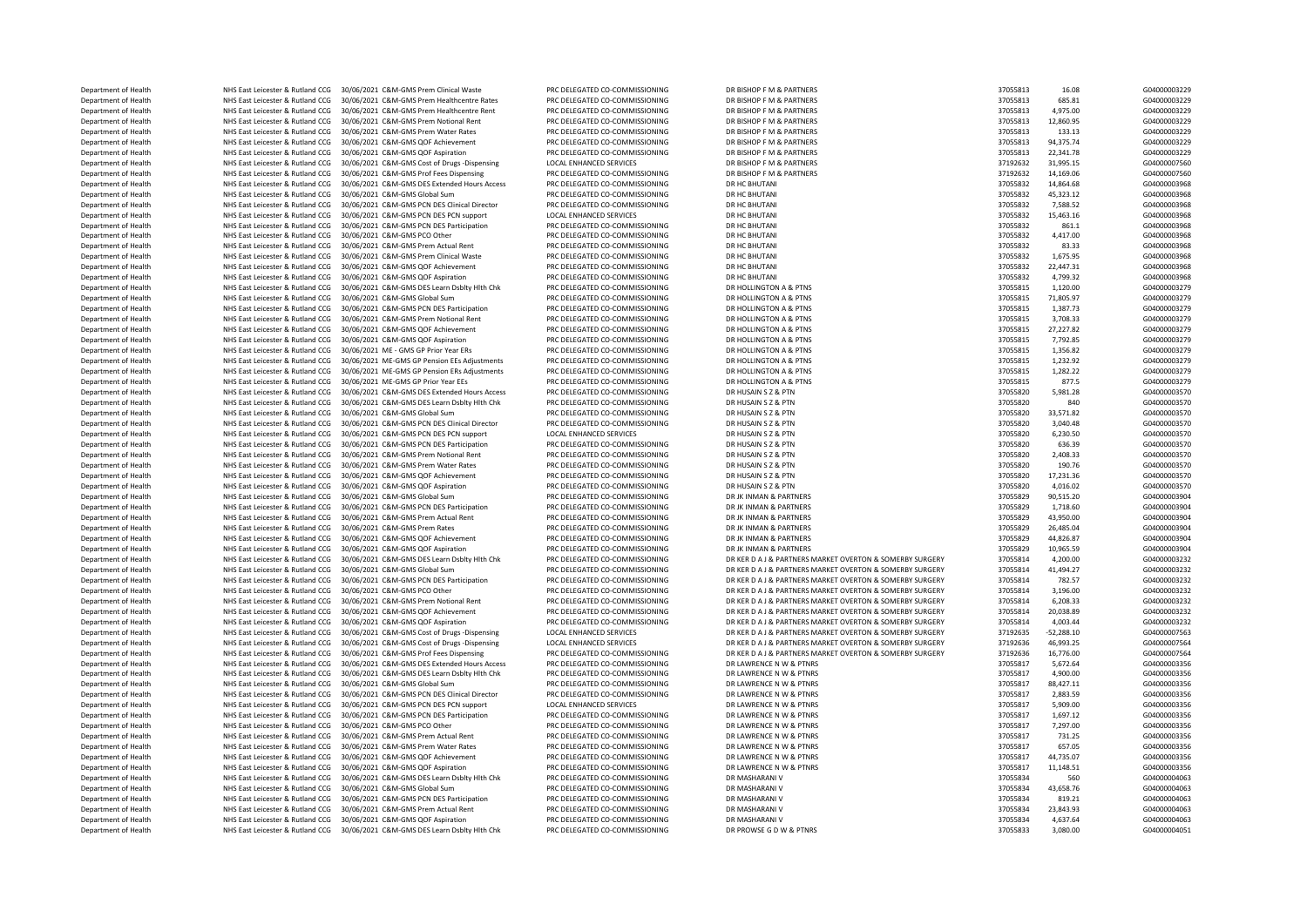| Department of Health | NHS East Leicester & Rutland CCG | 30/06/2021 C&M-GMS Prem Clinical Waste                                        | PRC DELEGATED CO-COMMISSIONING | DR BISHOP F M & PARTNERS                                 | 37055813 | 16.08        | G04000003229 |
|----------------------|----------------------------------|-------------------------------------------------------------------------------|--------------------------------|----------------------------------------------------------|----------|--------------|--------------|
| Department of Health | NHS East Leicester & Rutland CCG | 30/06/2021 C&M-GMS Prem Healthcentre Rates                                    | PRC DELEGATED CO-COMMISSIONING | DR BISHOP F M & PARTNERS                                 | 37055813 | 685.81       | G04000003229 |
|                      |                                  |                                                                               |                                |                                                          |          |              |              |
| Department of Health | NHS East Leicester & Rutland CCG | 30/06/2021 C&M-GMS Prem Healthcentre Rent                                     | PRC DELEGATED CO-COMMISSIONING | DR BISHOP F M & PARTNERS                                 | 37055813 | 4.975.00     | G04000003229 |
| Department of Health | NHS East Leicester & Rutland CCG | 30/06/2021 C&M-GMS Prem Notional Rent                                         | PRC DELEGATED CO-COMMISSIONING | DR BISHOP F M & PARTNERS                                 | 37055813 | 12,860.95    | G04000003229 |
| Department of Health | NHS East Leicester & Rutland CCG | 30/06/2021 C&M-GMS Prem Water Rates                                           | PRC DELEGATED CO-COMMISSIONING | DR BISHOP F M & PARTNERS                                 | 37055813 | 133.13       | G04000003229 |
| Department of Health | NHS East Leicester & Rutland CCG | 30/06/2021 C&M-GMS QOF Achievement                                            | PRC DELEGATED CO-COMMISSIONING | DR BISHOP F M & PARTNERS                                 | 37055813 | 94,375.74    | G04000003229 |
| Department of Health | NHS East Leicester & Rutland CCG | 30/06/2021 C&M-GMS QOF Aspiration                                             | PRC DELEGATED CO-COMMISSIONING | DR BISHOP F M & PARTNERS                                 | 37055813 | 22,341.78    | G04000003229 |
| Department of Health | NHS East Leicester & Rutland CCG | 30/06/2021 C&M-GMS Cost of Drugs -Dispensing                                  | LOCAL ENHANCED SERVICES        | DR BISHOP F M & PARTNERS                                 | 37192632 | 31,995.15    | G04000007560 |
|                      |                                  |                                                                               |                                |                                                          |          |              |              |
| Department of Health | NHS East Leicester & Rutland CCG | 30/06/2021 C&M-GMS Prof Fees Dispensing                                       | PRC DELEGATED CO-COMMISSIONING | DR BISHOP F M & PARTNERS                                 | 37192632 | 14,169.06    | G04000007560 |
| Department of Health | NHS East Leicester & Rutland CCG | 30/06/2021 C&M-GMS DES Extended Hours Access                                  | PRC DELEGATED CO-COMMISSIONING | DR HC BHUTANI                                            | 37055832 | 14,864.68    | G04000003968 |
| Department of Health | NHS East Leicester & Rutland CCG | 30/06/2021 C&M-GMS Global Sum                                                 | PRC DELEGATED CO-COMMISSIONING | DR HC BHUTANI                                            | 37055832 | 45,323.12    | G04000003968 |
| Department of Health |                                  | NHS East Leicester & Rutland CCG 30/06/2021 C&M-GMS PCN DES Clinical Director | PRC DELEGATED CO-COMMISSIONING | <b>DR HC BHUTANI</b>                                     | 37055832 | 7,588.52     | G04000003968 |
| Department of Health | NHS East Leicester & Rutland CCG | 30/06/2021 C&M-GMS PCN DES PCN support                                        | LOCAL ENHANCED SERVICES        | DR HC BHUTANI                                            | 37055832 | 15,463.16    | G04000003968 |
| Department of Health | NHS East Leicester & Rutland CCG | 30/06/2021 C&M-GMS PCN DES Participation                                      | PRC DELEGATED CO-COMMISSIONING | DR HC BHUTANI                                            | 37055832 | 861.1        | G04000003968 |
| Department of Health | NHS East Leicester & Rutland CCG | 30/06/2021 C&M-GMS PCO Other                                                  | PRC DELEGATED CO-COMMISSIONING | DR HC BHUTANI                                            | 37055832 | 4,417.00     | G04000003968 |
|                      |                                  |                                                                               |                                |                                                          |          |              |              |
| Department of Health | NHS East Leicester & Rutland CCG | 30/06/2021 C&M-GMS Prem Actual Rent                                           | PRC DELEGATED CO-COMMISSIONING | DR HC BHUTANI                                            | 37055832 | 83.33        | G04000003968 |
| Department of Health | NHS East Leicester & Rutland CCG | 30/06/2021 C&M-GMS Prem Clinical Waste                                        | PRC DELEGATED CO-COMMISSIONING | DR HC BHUTANI                                            | 37055832 | 1,675.95     | G04000003968 |
| Department of Health | NHS East Leicester & Rutland CCG | 30/06/2021 C&M-GMS QOF Achievement                                            | PRC DELEGATED CO-COMMISSIONING | DR HC BHUTANI                                            | 37055832 | 22,447.31    | G04000003968 |
| Department of Health | NHS East Leicester & Rutland CCG | 30/06/2021 C&M-GMS QOF Aspiration                                             | PRC DELEGATED CO-COMMISSIONING | <b>DR HC BHUTANI</b>                                     | 37055832 | 4,799.32     | G04000003968 |
| Department of Health | NHS East Leicester & Rutland CCG | 30/06/2021 C&M-GMS DES Learn Dsblty Hlth Chk                                  | PRC DELEGATED CO-COMMISSIONING | DR HOLLINGTON A & PTNS                                   | 37055815 | 1,120.00     | G04000003279 |
| Department of Health | NHS East Leicester & Rutland CCG | 30/06/2021 C&M-GMS Global Sum                                                 | PRC DELEGATED CO-COMMISSIONING | DR HOLLINGTON A & PTNS                                   | 37055815 | 71,805.97    | G04000003279 |
|                      |                                  |                                                                               |                                | DR HOLLINGTON A & PTNS                                   | 37055815 | 1,387.73     |              |
| Department of Health | NHS East Leicester & Rutland CCG | 30/06/2021 C&M-GMS PCN DES Participation                                      | PRC DELEGATED CO-COMMISSIONING |                                                          |          |              | G04000003279 |
| Department of Health | NHS East Leicester & Rutland CCG | 30/06/2021 C&M-GMS Prem Notional Rent                                         | PRC DELEGATED CO-COMMISSIONING | DR HOLLINGTON A & PTNS                                   | 37055815 | 3,708.33     | G04000003279 |
| Department of Health | NHS East Leicester & Rutland CCG | 30/06/2021 C&M-GMS QOF Achievement                                            | PRC DELEGATED CO-COMMISSIONING | DR HOLLINGTON A & PTNS                                   | 37055815 | 27,227.82    | G04000003279 |
| Department of Health | NHS East Leicester & Rutland CCG | 30/06/2021 C&M-GMS QOF Aspiration                                             | PRC DELEGATED CO-COMMISSIONING | DR HOLLINGTON A & PTNS                                   | 37055815 | 7,792.85     | G04000003279 |
| Department of Health | NHS East Leicester & Rutland CCG | 30/06/2021 ME - GMS GP Prior Year ERs                                         | PRC DELEGATED CO-COMMISSIONING | DR HOLLINGTON A & PTNS                                   | 37055815 | 1,356.82     | G04000003279 |
| Department of Health | NHS East Leicester & Rutland CCG | 30/06/2021 ME-GMS GP Pension EEs Adjustments                                  | PRC DELEGATED CO-COMMISSIONING | DR HOLLINGTON A & PTNS                                   | 37055815 | 1,232.92     | G04000003279 |
| Department of Health | NHS East Leicester & Rutland CCG | 30/06/2021 MF-GMS GP Pension FRs Adjustments                                  | PRC DELEGATED CO-COMMISSIONING | DR HOLLINGTON A & PTNS                                   | 37055815 | 1,282.22     | G04000003279 |
|                      | NHS East Leicester & Rutland CCG | 30/06/2021 ME-GMS GP Prior Year FFs                                           | PRC DELEGATED CO-COMMISSIONING |                                                          |          |              |              |
| Department of Health |                                  |                                                                               |                                | DR HOLLINGTON A & PTNS                                   | 37055815 | 877.5        | G04000003279 |
| Department of Health | NHS East Leicester & Rutland CCG | 30/06/2021 C&M-GMS DES Extended Hours Access                                  | PRC DELEGATED CO-COMMISSIONING | DR HUSAIN S Z & PTN                                      | 37055820 | 5,981.28     | G04000003570 |
| Department of Health | NHS East Leicester & Rutland CCG | 30/06/2021 C&M-GMS DES Learn Dsblty Hlth Chk                                  | PRC DELEGATED CO-COMMISSIONING | DR HUSAIN S Z & PTN                                      | 37055820 | 840          | G04000003570 |
| Department of Health | NHS East Leicester & Rutland CCG | 30/06/2021 C&M-GMS Global Sum                                                 | PRC DELEGATED CO-COMMISSIONING | DR HUSAIN S Z & PTN                                      | 37055820 | 33,571.82    | G04000003570 |
| Department of Health | NHS East Leicester & Rutland CCG | 30/06/2021 C&M-GMS PCN DES Clinical Director                                  | PRC DELEGATED CO-COMMISSIONING | DR HUSAIN S Z & PTN                                      | 37055820 | 3,040.48     | G04000003570 |
| Department of Health | NHS East Leicester & Rutland CCG | 30/06/2021 C&M-GMS PCN DES PCN support                                        | <b>LOCAL ENHANCED SERVICES</b> | DR HUSAIN S Z & PTN                                      | 37055820 | 6,230.50     | G04000003570 |
|                      |                                  |                                                                               | PRC DELEGATED CO-COMMISSIONING | DR HUSAIN S Z & PTN                                      |          | 636.39       | G04000003570 |
| Department of Health | NHS East Leicester & Rutland CCG | 30/06/2021 C&M-GMS PCN DES Participation                                      |                                |                                                          | 37055820 |              |              |
| Department of Health | NHS East Leicester & Rutland CCG | 30/06/2021 C&M-GMS Prem Notional Rent                                         | PRC DELEGATED CO-COMMISSIONING | DR HUSAIN S Z & PTN                                      | 37055820 | 2,408.33     | G04000003570 |
| Department of Health | NHS East Leicester & Rutland CCG | 30/06/2021 C&M-GMS Prem Water Rates                                           | PRC DELEGATED CO-COMMISSIONING | DR HUSAIN S Z & PTN                                      | 37055820 | 190.76       | G04000003570 |
| Department of Health | NHS East Leicester & Rutland CCG | 30/06/2021 C&M-GMS QOF Achievement                                            | PRC DELEGATED CO-COMMISSIONING | DR HUSAIN S Z & PTN                                      | 37055820 | 17,231.36    | G04000003570 |
| Department of Health | NHS East Leicester & Rutland CCG | 30/06/2021 C&M-GMS QOF Aspiration                                             | PRC DELEGATED CO-COMMISSIONING | DR HUSAIN S Z & PTN                                      | 37055820 | 4,016.02     | G04000003570 |
| Department of Health | NHS East Leicester & Rutland CCG | 30/06/2021 C&M-GMS Global Sum                                                 | PRC DELEGATED CO-COMMISSIONING | DR JK INMAN & PARTNERS                                   | 37055829 | 90,515.20    | G04000003904 |
| Department of Health | NHS East Leicester & Rutland CCG | 30/06/2021 C&M-GMS PCN DES Participation                                      | PRC DELEGATED CO-COMMISSIONING | DR JK INMAN & PARTNERS                                   | 37055829 | 1,718.60     | G04000003904 |
|                      |                                  |                                                                               |                                |                                                          |          |              |              |
| Department of Health | NHS East Leicester & Rutland CCG | 30/06/2021 C&M-GMS Prem Actual Rent                                           | PRC DELEGATED CO-COMMISSIONING | DR JK INMAN & PARTNERS                                   | 37055829 | 43,950.00    | G04000003904 |
| Department of Health | NHS East Leicester & Rutland CCG | 30/06/2021 C&M-GMS Prem Rates                                                 | PRC DELEGATED CO-COMMISSIONING | DR JK INMAN & PARTNERS                                   | 37055829 | 26,485.04    | G04000003904 |
| Department of Health | NHS East Leicester & Rutland CCG | 30/06/2021 C&M-GMS QOF Achievement                                            | PRC DELEGATED CO-COMMISSIONING | DR JK INMAN & PARTNERS                                   | 37055829 | 44,826.87    | G04000003904 |
| Department of Health | NHS East Leicester & Rutland CCG | 30/06/2021 C&M-GMS QOF Aspiration                                             | PRC DELEGATED CO-COMMISSIONING | DR JK INMAN & PARTNERS                                   | 37055829 | 10,965.59    | G04000003904 |
| Department of Health | NHS East Leicester & Rutland CCG | 30/06/2021 C&M-GMS DES Learn Dsblty Hlth Chk                                  | PRC DELEGATED CO-COMMISSIONING | DR KER D A J & PARTNERS MARKET OVERTON & SOMERBY SURGERY | 37055814 | 4,200.00     | G04000003232 |
| Department of Health | NHS East Leicester & Rutland CCG | 30/06/2021 C&M-GMS Global Sum                                                 | PRC DELEGATED CO-COMMISSIONING | DR KER D A J & PARTNERS MARKET OVERTON & SOMERBY SURGERY | 37055814 | 41,494.27    | G04000003232 |
|                      |                                  |                                                                               |                                |                                                          |          | 782.57       |              |
| Department of Health | NHS East Leicester & Rutland CCG | 30/06/2021 C&M-GMS PCN DES Participation                                      | PRC DELEGATED CO-COMMISSIONING | DR KER D A J & PARTNERS MARKET OVERTON & SOMERBY SURGERY | 37055814 |              | G04000003232 |
| Department of Health | NHS East Leicester & Rutland CCG | 30/06/2021 C&M-GMS PCO Other                                                  | PRC DELEGATED CO-COMMISSIONING | DR KER D A J & PARTNERS MARKET OVERTON & SOMERBY SURGERY | 37055814 | 3,196.00     | G04000003232 |
| Department of Health | NHS East Leicester & Rutland CCG | 30/06/2021 C&M-GMS Prem Notional Rent                                         | PRC DELEGATED CO-COMMISSIONING | DR KER D A J & PARTNERS MARKET OVERTON & SOMERBY SURGERY | 37055814 | 6,208.33     | G04000003232 |
| Department of Health | NHS East Leicester & Rutland CCG | 30/06/2021 C&M-GMS QOF Achievement                                            | PRC DELEGATED CO-COMMISSIONING | DR KER D A J & PARTNERS MARKET OVERTON & SOMERBY SURGERY | 37055814 | 20,038.89    | G04000003232 |
| Department of Health | NHS East Leicester & Rutland CCG | 30/06/2021 C&M-GMS OOF Aspiration                                             | PRC DELEGATED CO-COMMISSIONING | DR KER D A J & PARTNERS MARKET OVERTON & SOMERBY SURGERY | 37055814 | 4,003.44     | G04000003232 |
| Department of Health | NHS East Leicester & Rutland CCG | 30/06/2021 C&M-GMS Cost of Drugs -Dispensing                                  | <b>LOCAL ENHANCED SERVICES</b> | DR KER D A J & PARTNERS MARKET OVERTON & SOMERBY SURGERY | 37192635 | $-52,288.10$ | G04000007563 |
| Department of Health | NHS East Leicester & Rutland CCG | 30/06/2021 C&M-GMS Cost of Drugs -Dispensing                                  | <b>LOCAL ENHANCED SERVICES</b> | DR KER D A J & PARTNERS MARKET OVERTON & SOMERBY SURGERY | 37192636 | 46.993.25    | G04000007564 |
| Department of Health | NHS East Leicester & Rutland CCG | 30/06/2021 C&M-GMS Prof Fees Dispensing                                       | PRC DELEGATED CO-COMMISSIONING | DR KER D A J & PARTNERS MARKET OVERTON & SOMERBY SURGERY | 37192636 | 16,776.00    | G04000007564 |
|                      |                                  |                                                                               |                                |                                                          |          |              |              |
| Department of Health | NHS East Leicester & Rutland CCG | 30/06/2021 C&M-GMS DES Extended Hours Access                                  | PRC DELEGATED CO-COMMISSIONING | DR LAWRENCE N W & PTNRS                                  | 37055817 | 5,672.64     | G04000003356 |
| Department of Health | NHS East Leicester & Rutland CCG | 30/06/2021 C&M-GMS DES Learn Dsblty Hlth Chk                                  | PRC DELEGATED CO-COMMISSIONING | DR LAWRENCE N W & PTNRS                                  | 37055817 | 4,900.00     | G04000003356 |
| Department of Health | NHS East Leicester & Rutland CCG | 30/06/2021 C&M-GMS Global Sum                                                 | PRC DELEGATED CO-COMMISSIONING | DR LAWRENCE N W & PTNRS                                  | 37055817 | 88,427.11    | G04000003356 |
| Department of Health | NHS East Leicester & Rutland CCG | 30/06/2021 C&M-GMS PCN DES Clinical Director                                  | PRC DELEGATED CO-COMMISSIONING | DR LAWRENCE N W & PTNRS                                  | 37055817 | 2,883.59     | G04000003356 |
| Department of Health | NHS East Leicester & Rutland CCG | 30/06/2021 C&M-GMS PCN DES PCN support                                        | LOCAL ENHANCED SERVICES        | DR LAWRENCE N W & PTNRS                                  | 37055817 | 5,909.00     | G04000003356 |
| Department of Health | NHS East Leicester & Rutland CCG | 30/06/2021 C&M-GMS PCN DES Participation                                      | PRC DELEGATED CO-COMMISSIONING | DR LAWRENCE N W & PTNRS                                  | 37055817 | 1,697.12     | G04000003356 |
|                      | NHS East Leicester & Rutland CCG | 30/06/2021 C&M-GMS PCO Other                                                  |                                |                                                          |          |              | G04000003356 |
| Department of Health |                                  |                                                                               | PRC DELEGATED CO-COMMISSIONING | DR LAWRENCE N W & PTNRS                                  | 37055817 | 7,297.00     |              |
| Department of Health | NHS East Leicester & Rutland CCG | 30/06/2021 C&M-GMS Prem Actual Rent                                           | PRC DELEGATED CO-COMMISSIONING | DR LAWRENCE N W & PTNRS                                  | 37055817 | 731.25       | G04000003356 |
| Department of Health | NHS East Leicester & Rutland CCG | 30/06/2021 C&M-GMS Prem Water Rates                                           | PRC DELEGATED CO-COMMISSIONING | DR LAWRENCE N W & PTNRS                                  | 37055817 | 657.05       | G04000003356 |
| Department of Health | NHS East Leicester & Rutland CCG | 30/06/2021 C&M-GMS QOF Achievement                                            | PRC DELEGATED CO-COMMISSIONING | DR LAWRENCE N W & PTNRS                                  | 37055817 | 44,735.07    | G04000003356 |
| Department of Health | NHS East Leicester & Rutland CCG | 30/06/2021 C&M-GMS QOF Aspiration                                             | PRC DELEGATED CO-COMMISSIONING | DR LAWRENCE N W & PTNRS                                  | 37055817 | 11,148.51    | G04000003356 |
| Department of Health | NHS East Leicester & Rutland CCG | 30/06/2021 C&M-GMS DES Learn Dsblty Hlth Chk                                  | PRC DELEGATED CO-COMMISSIONING | DR MASHARANI V                                           | 37055834 | 560          | G04000004063 |
| Department of Health | NHS East Leicester & Rutland CCG | 30/06/2021 C&M-GMS Global Sum                                                 | PRC DELEGATED CO-COMMISSIONING | DR MASHARANI V                                           | 37055834 | 43,658.76    | G04000004063 |
|                      |                                  |                                                                               |                                |                                                          |          |              |              |
| Department of Health | NHS East Leicester & Rutland CCG | 30/06/2021 C&M-GMS PCN DES Participation                                      | PRC DELEGATED CO-COMMISSIONING | DR MASHARANI V                                           | 37055834 | 819.21       | G04000004063 |
| Department of Health | NHS East Leicester & Rutland CCG | 30/06/2021 C&M-GMS Prem Actual Rent                                           | PRC DELEGATED CO-COMMISSIONING | DR MASHARANI V                                           | 37055834 | 23,843.93    | G04000004063 |
| Department of Health |                                  | NHS East Leicester & Rutland CCG 30/06/2021 C&M-GMS QOF Aspiration            | PRC DELEGATED CO-COMMISSIONING | DR MASHARANI V                                           | 37055834 | 4,637.64     | G04000004063 |
| Department of Health |                                  | NHS East Leicester & Rutland CCG 30/06/2021 C&M-GMS DES Learn Dsbltv Hlth Chk | PRC DELEGATED CO-COMMISSIONING | DR PROWSE G D W & PTNRS                                  | 37055833 | 3.080.00     | G04000004051 |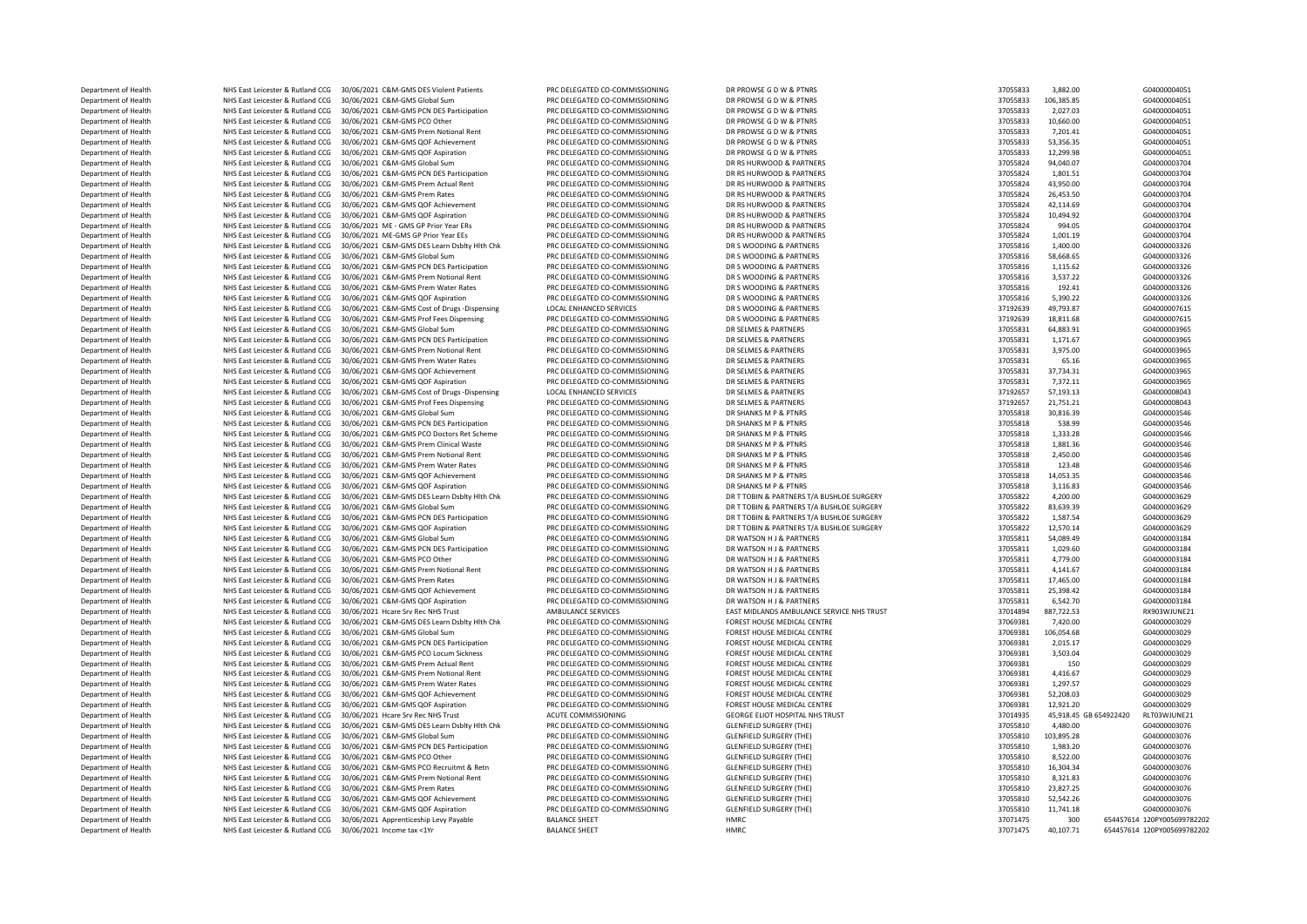Department of Health NHS East Leicester & Rutland CCG 30/06/2021 C&M-GMS DES Violent Patients PRC DELEGATED CO-COMMISSIONING DR PROWSE G DW & PTNRS PRO ACCESS 20055833 3,882.00 G040000405:<br>Department of Health NHS East Lei Department of Health NHS East Leicester & Rutland CCG 30/06/2021 C&M-GMS Global Sum PRC DELEGATED CO-COMMISSIONING DR PROWSE G D W & PTNRS 370568331 2012 CAM-GMS 97058331 108.85 COMMISSIONING DR PROWSE G D W & PTNRS 370568 Department of Health NHS East Leicester & Rutland CCG 30/06/2021 C&M-GMS PCN DES Participation PRC DELEGATED CO-COMMISSIONING DR PROWSE G D W & PTNRS 370568331 2,027.03 DR PROWSE G D W & PTNRS 370568330 2,027.03 GM DR PROW Department of Health NHS East Leicester & Rutland CCG 30/06/2021 C&M-GMS PCO Other PRC DELEGATED CO-COMMISSIONING DR PROWSE G D W & PTNRS 3705833 10,000 GD & PTNRS 370583330 10,000 GD & PTNRS 37058330 10,000 GD & PTNRS 370 Department of Health NHS East Leicester & Rutland CCG 30/06/2021 C&M-GMS Prem Notional Rent PRC DELEGATED CO-COMMISSIONING DR PROWSE G D W & PTNRS 370568331 7,201.41 DR PROWSE G D W & PTNRS 37055831 7,201.41 GDR PROWSE G D Department of Health NHS East Leicester & Rutland CCG 30/06/2021 C&M-GMS QOF Achievement PRC DELEGATED CO-COMMISSIONING DR PROWSE G D W & PTNRS 370464 63,356.356.356.356.356.357.356.356.357.356.356.357.356.35.356.35.356.35 Department of Health NHS East Leicester & Rutland CCG 30/06/2021 C&M-GMS QOF Aspiration PRC DELEGATED CO-COMMISSIONING DR PROWSE G D W & PTNRS 37055833 12,299.98 37055833 12,299.98 G04000004051 Department of Health **NHS East Leicester & Rutland CCG 30/06/2021 C&M-GMS Global Sum PRC DELEGATED CO-COMMISSIONING** DR RS HURWOOD & PARTNERS Beat The RS HURWOOD & PARTNERS 3706/2021 C&M-GMS PARTNERS 37056/2021 CAM-GMS PAR Department of Health NHS East Leicester & Rutland CCG 30/06/2021 C&M-GMS PCN DES Participation PRC DELEGATED CO-COMMISSIONING DR RS HURWOOD & PARTNERS 37056824 1, 2010 CALL 2010 CALL 2011 CAM CAMS PORT AND THE CONTROL COMM Department of Health NHS East Leicester & Rutland CCG 30/06/2021 C&M-GMS Prem Actual Rent PRC DELEGATED CO-COMMISSIONING DR RS HURWOOD & PARTNERS 370.06 ARTNERS 370.06 ARTNERS 370.06 FOR THE RATHERS 370.00 GD40000 APARTNER Department of Health **NHS East Leicester & Rutland CCG 30/06/2021 C&M-GMS Prem Rates** PRC DELEGATED CO-COMMISSIONING DR RS HURWOOD & PARTNERS PREM PRO ALT ART AND RESTRICT TO COMMISSIONING DR RS HURWOOD & PARTNERS 37066/20 Department of Health **NHS East Leicester & Rutland CCG 30/06/2021 C&M-GMS QOF Achievement** PRC DELEGATED CO-COMMISSIONING DR RS HURWOOD & PARTNERS DR RS HURWOOD & PARTNERS 37066/2021 C&M-GMS QOF Achievement PRC DELEGATED C Department of Health **MHS East Leicester & Rutland CCG** 30/06/2021 C&M-GMS QOF Aspiration PRC DELEGATED CO-COMMISSIONING DR RS HURWOOD & PARTNERS 20106/2021 ABORTHERS 20106/2021 ME - GMS GP Prior Year ERS PRO DELEGATED CO-Department of Health **NHS East Leicester & Rutland CCG 30/06/2021 ME - GMS GP Prior Year ERS** PRC DELEGATED CO-COMMISSIONING DR RS HURWOOD & PARTNERS PROGREGATED CO-COMMISSIONING DR RS HURWOOD & PARTNERS 370/06/2021 ME - G Department of Health NHS East Leicester & Rutland CCG 30/06/2021 ME-GMS GP Prior Year EEs PRC DELEGATED CO-COMMISSIONING DR RS HURWOOD & PARTNERS 3705/2021 CAM-GMS DR STELEGATED CO-COLOGATED CO-COMMISSIONING DR S WOODING & Department of Health NHS East Leicester & Rutland CCG 30/06/2021 C&M-GMS DES Learn Dsblty Hlth Chk PRC DELEGATED CO-COMMISSIONING DR S WOODING & PARTNERS 37055816816816 1,400 G04000011,400 G0400000336 68 ARTNERS 3705816 20 Department of Health NHS East Leicester & Rutland CCG 30/06/2021 C&M-GMS Global Sum PRC DELEGATED CO-COMMISSIONING DR S WOODING & PARTNERS ARE THE STATTNERS ARE THE STATTNERS ARE THE STATT OF SUMMISSIONING ARE THE STATT OF Department of Health NHS East Leicester & Rutland CCG 30/06/2021 C&M-GMS PCN DES Participation PRC DELEGATED CO-COMMISSIONING DR S WOODING & PARTNERS PARTNERS 37055816 2007 1,115.62 GD4000011, 20055816 2007 1,115.62 GD4000 Department of Health NHS East Leicester & Rutland CCG 30/06/2021 C&M-GMS Prem Notional Rent PRC DELEGATED CO-COMMISSIONING DR S WOODING & PARTNERS 37055816 2016 2016 2017 12:32 GD4 2017 12:32 GD4 2017 12:32 GD4 2017 12:32 Department of Health NHS East Leicester & Rutland CCG 30/06/2021 C&M-GMS Prem Water Rates PRC DELEGATED CO-COMMISSIONING DR S WOODING & PARTNERS PRETNERS ARE DR S WOODING A PARTNERS ARE THE RES ARE THE RATTERS 30/06/2021 C Department of Health NHS East Leicester & Rutland CCG 30/06/2021 C&M-GMS QOF Aspiration PRC DELEGATED CO-COMMISSIONING DR S WOODING & PARTNERS 370.22 GOG 2016/2021 C&M-GMS Cort of Drugs Disconsing DR S ENGINEES ASPIRATO CO Department of Health NHS East Leicester & Rutland CCG 30/06/2021 C&M-GMS Cost of Drugs -Dispensing LOCAL ENHANCED SERVICES DR S WOODING & PARTNERS DR S WOODING A PARTNERS ARE TRESS ARE TRESS ARE ARE ARE ARE ARE ARE ARE ARE Department of Health NHS East Leicester & Rutland CCG 30/06/2021 C&M-GMS Prof Fees Dispensing PRC DELEGATED CO-COMMISSIONING DR S WOODING & PARTN<br>Department of Health NHS East Leicester & Rutland CCG 30/06/2021 C&M-GMS Glo Department of Health NHS East Leicester & Rutland CCG 30/06/2021 C&M-GMS Global Sum PRC DELEGATED CO-COMMISSIONING DR SELMES & PARTNERS ARTNERS and CCG 30/06/2021 C&M-GMS Global Sum PRC DR SELMES ARTNERS 30.91 GD 4.883.91 Department NHS East Leicester & Rutland CCG 30/06/2021 C&M-GMS PCN DES Participation Department of Health NHS East Leicester & Rutland CCG 30/06/2021 C&M-GMS Prem Notional Rent PRC DELEGATED CO-COMMISSIONING DR SELMES & PARTNERS Department of Health NHS East Leicester & Rutland CCG 30/06/2021 C&M-GMS Prem Water Rates PRC DELEGATED CO-COMMISSIONING DR SELMES & PARTNERS Department of Health **NHS East Leicester & Rutland CCG** 30/06/2021 C&M-GMS QOF Achievement PRC DELEGATED CO-COMMISSIONING DR SELMES & PARTNERS ARTNERS ARTNERS ARTNERS ARTNERS ARTNERS ARTNERS 3706/2021 C&M-GMS QOF Aspiratio NHS East Leicester & Rutland CCG 30/06/2021 C&M-GMS QOF Aspiration Department of Health NHS East Leicester & Rutland CCG 30/06/2021 C&M-GMS Cost of Drugs -Dispensing LOCAL ENHANCED SERVICES CO-COMMISSIONING DR SELMES & PARTNERS ARTNERS ARTNERS ARTNERS ARTNERS 371967 57,193.13 DR SELMES AR Department of Health NHS East Leicester & Rutland CCG 30/06/2021 C&M-GMS Prof Fees Dispensing PRC DELEGATED CO-COMMISSIONING DR SELMES & PARTNERS PARTNERS ARTNERS ARTNERS ARTNERS ARTNERS ARTNERS 30/06/2021 C&M-GMS Global S Department of Health NHS East Leicester & Rutland CCG 30/06/2021 C&M-GMS Global Sum PRC DELEGATED CO-COMMISSIONING DR SHANKS M P & PTNRS 37056818 37056818 30,816.39 GD 4000000354666818 37056818 30,816.39 GD 400000000000000 Department of Health NHS East Leicester & Rutland CCG 30/06/2021 C&M-GMS PCN DES Participation PRC DELEGATED CO-COMMISSIONING DR SHANKS M P & PTNRS 3705681818 538.99 DR SHANKS M P & PTNRS 3705681818 538.99 GD40000000000000 Department of Health NHS East Leicester & Rutland CCG 30/06/2021 C&M-GMS PCO Doctors Ret Scheme PRC DELEGATED CO-COMMISSIONING DR SHANKS M P & PTNRS 3705681818 1,333.28 Externee PRC DR SHANKS M P & PTNRS 3705681818 1,333.2 Department of Health NHS East Leicester & Rutland CCG 30/06/2021 C&M-GMS Prem Clinical Waste PRC DELEGATED CO-COMMISSIONING DR SHANKS M P & PTNRS 370.36 GD4000011 CCG 30/06/2021 C&M-GMS Prem Clinical Waste PRC DELEGATED CO Department of Health NHS East Leicester & Rutland CCG 30/06/2021 C&M-GMS Prem Notional Rent PRC DELEGATED CO-COMMISSIONING DR SHANKS M P & PTNRS 370.00 DR SHANKS M PRE PRENDER STARKS M P & PTNRS 370.06/20100000000000000000 Department of Health NHS East Leicester & Rutland CCG 30/06/2021 C&M-GMS Prem Water Rates PRC DELEGATED CO-COMMISSIONING DR SHANKS M P & PTNRS 37055818 2017 DR SHANKS M P & PTNRS 3705681818 123.48 G04000031 28.48 G04000000 Department of Health NHS East Leicester & Rutland CCG 30/06/2021 C&M-GMS QOF Achievement PRC DELEGATED CO-COMMISSIONING DR SHANKS M P & PTNRS 3705681818 PRC DR SHANKS M P & PTNRS 3705681818 14,053.35 GD 4000000000000000000 Department of Health **MHS East Leicester & Rutland CCG 30/06/2021 C&M-GMS QOF Aspiration** PRC DELEGATED CO-COMMISSIONING DR SHANKS M P & PTNRS ARRTNERS T/A BUSHLOE SURGERY ARRTS ARRTS ARRTS ARRTS 3006/2021 C&M-GMS DES Lear Department of Health NHS East Leicester & Rutland CCG 30/06/2021 C&M-GMS DES Learn Dsblty Hlth Chk PRC DELEGATED CO-COMMISSIONING DR TTOBIN & PARTNERS T/A BUSHLOE SURGERY AND RESERVE AT A BUSHLOE SURGERY 30/06/2021 4,200.0 Department of Health NHS East Leicester & Rutland CCG 30/06/2021 C&M-GMS Global Sum PRC DELEGATED CO-COMMISSIONING DR TTOBIN & PARTNERS T/A BUSHLOE SURGERY 3706/2021 C&M-GMS Global Sum PRC DELEGATED CO-COMMISSIONING DR TTO Department of Health NHS East Leicester & Rutland CCG 30/06/2021 C&M-GMS PCN DES Participation PRC DELEGATED CO-COMMISSIONING DR TTOBIN & PARTNERS T/A BUSHLOE SURGERY 37056222 1,587.54 GO4 COM-GMS PORTLEGATED CO-COMMISSION Department of Health NHS East Leicester & Rutland CCG 30/06/2021 C&M-GMS QOF Aspiration PRC DELEGATED CO-COMMISSIONING DR TTOBIN & PARTNERS T/A BUSHLOE SURGERY AND THE SURGERY ASSETT AND RESURGERY 3006/2021 C&M-GMS Global Department of Health **NHS East Leicester & Rutland CCG 30/06/2021 C&M-GMS Global Sum PRC DELEGATED CO-COMMISSIONING** DR WATSON H J & PARTNERS 3706/2021 C&M-GMS PCN DES Participation PRC DELEGATED CO-COMMISSIONING DR WATSON Department of Health NHS East Leicester & Rutland CCG 30/06/2021 C&M-GMS PCN DES Participation PRC DELEGATED CO-COMMISSIONING DR WATSON H J & PARTNERS BRETNERS ARE DRIEGATED CO-COMMISSIONING DR WATSON H J & PARTNERS 3006/0 DEPARTMENT OF HEALTH NHS East Leicester & Rutland CCG 30/06/2021 C&M-GMS PCO Other Department of Health NHS East Leicester & Rutland CCG 30/06/2021 C&M-GMS Prem Notional Rent PRC DELEGATED CO-COMMISSIONING DR WATSON H J & PARTNERS Department of Health NHS East Leicester & Rutland CCG 30/06/2021 C&M-GMS Prem Rates PRO THE PARTNERS ARE DR WATSON H J & PARTNERS 37056811 17,465.00 GD 40311 17,475.00 GD 40311 17,476.00 GD 40311 17,476.00 GD 400000 21:46 Department of Health NHS East Leicester & Rutland CCG 30/06/2021 C&M-GMS QOF Achievement PRC DELEGATED CO-COMMISSIONING DR WATSON H J & PARTNERS 3706/06/2021 C&M-GMS QOF Aspiration PRC DELEGATED CO-COMMISSIONING DR WATSON NHS East Leicester & Rutland CCG 30/06/2021 C&M-GMS QOF Aspiration Department of Health NHS East Leicester & Rutland CCG 30/06/2021 Hcare Srv Rec NHS Trust AMBULANCE SRVICES AMBULANDS AMBULANCE SERVICE NHS TRUST ADDENED ASSET MIDLANDS AMBULANCE SERVICE NHS TRUST AREAST AT A REAST AND AND Department of Health NHS East Leicester & Rutland CCG 30/06/2021 C&M-GMS DES Learn Dsblty Hlth Chk PRC DELEGATED CO-COMMISSIONING FOREST HOUSE MEDICAL CENTRE 37069381 7,020.00 GDATED AND FOREST HOUSE MEDICAL CENTRE 3706938 Department of Health NHS East Leicester & Rutland CCG 30/06/2021 C&M-GMS Global Sum PRC DELEGATED CO-COMMISSIONING FOREST HOUSE MEDICAL CENTRE Department of Health MHS East Leicester & Rutland CCG 30/06/2021 C&M-GMS PCN DES Participation PRC DELEGATED CO-COMMISSIONING FOREST HOUSE MEDICAL CENTRE 3706/2021 C&M-GMS PCO Locum Sickness PRC DELEGATED CO-COMMISSIONING Department of Health **NHS East Leicester & Rutland CCG** 30/06/2021 C&M-GMS PCO Locum Sickness Department of Health **NHS East Leicester & Rutland CCG** 30/06/2021 C&M-GMS Prem Actual Rent PRC DELEGATED CO-COMMISSIONING FOREST HOUSE MEDICAL CENTRE Department of Health **NHS East Leicester & Rutland CCG 30/06/2021 C&M-GMS Prem Notional Rent** PRC DELEGATED CO-COMMISSIONING FOREST HOUSE MEDICAL CENTRE Department of Health NHS East Leicester & Rutland CCG 30/06/2021 C&M-GMS Prem Water Rates PRC DELEGATED CO-COMMISSIONING FOREST HOUSE MEDICAL CENTRE Department of Health NHS East Leicester & Rutland CCG 30/06/2021 C&M-GMS QOF Achievement PRC DELEGATED CO-COMMISSIONING FOREST HOUSE MEDICAL CENTRE 3706/2021 C&M-GMS QOF Achievement PRC DELEGATED CO-COMMISSIONING FOREST HO Department of Health **NHS East Leicester & Rutland CCG 30/06/2021 C&M-GMS QOF Aspiration** PRC DELEGATED CO-COMMISSIONING FOREST HOUSE MEDICAL CENTRE COMMISSIONING FOREST HOUSE MEDICAL CENTRE 30/06/2021 C&M-GMS QUE PRIST Tr Department of Health **NHS East Leicester & Rutland CCG** 30/06/2021 Hcare Srv Rec NHS Trust **ACUTE COMMISSIONING** GEORGE ELIOT HOSPITAL N<br>Department of Health NHS East Leicester & Butland CCG 30/06/2021 C&M-GMS DES Learn De Department of Health NHS East Leicester & Rutland CCG 30/06/2021 C&M-GMS DES Learn Dsblty Hlth Chk PRC DELEGATED CO-COMMISSIONING GLENFIELD SURGERY (THE)<br>Department of Health NHS East Leicester & Rutland CCG 30/06/2021 C&M Department of Health **NHS East Leicester & Rutland CCG** 30/06/2021 C&M-GMS Global Sum PRC DELEGATED CO-COMMISSIONING GLENFIELD SURGERY (THE) 3705 AND THE COMMISSIONING GLENFIELD SURGERY (THE) Department of Health NHS East Leicester & Rutland CCG 30/06/2021 C&M-GMS PCN DES Participation PRC DELEGATED CO-COMMISSIONING GLENFIELD SURGERY (THE) 3705625810 1,993.20 ELENFIELD SURGERY (THE) 37055810 1,993.20 GLENFIELD Department of Health **NHS East Leicester & Rutland CCG 30/06/2021 C&M-GMS PCO Other** PRC DELEGATED CO-COMMISSIONING GLENFIELD SURGERY (THE) 37055810 8,522.00 GLENFIELD SURGERY (THE) 37065810 8,522.00 GLENFIELD SURGERY (THE Department of Health **NHS East Leicester & Rutland CCG 30/06/2021 C&M-GMS PCO Recruitmt & Retn** PRC DELEGATED CO-COMMISSIONING GLENFIELD SURGERY (THE) 371 CENFIELD SURGERY (THE) 371 CENFIELD SURGERY (THE) 371 CENFIELD SURG Department of Health Nutland CCG 30/06/2021 C&M-GMS Prem Notional Rent Prem Notional Rent Prem Notional Rent Prem Notional Rent Prem Notional Rent Prem Notional Rent Indianal Surgery (The Surgery of Delta) 370 and 2012 Department of Health NHS East Leicester & Rutland CCG 30/06/2021 C&M-GMS Prem Rates PRC DELEGATED CO-COMMISSIONING GLENFIELD SURGERY (THE) Department of Health NHS East Leicester & Rutland CCG 30/06/2021 C&M-GMS QOF Achievement PRC DELEGATED CO-COMMISSIONING GLENFIELD SURGERY (THE) Department of Health **NHS East Leicester & Rutland CCG 30/06/2021 C&M-GMS QOF Aspiration** PRC DELEGATED CO-COMMISSIONING GLENFIELD SURGERY (THE) Department of Health NHS East Leicester & Rutland CCG 30/06/2021 Apprenticeship Levy Payable BALANCE SHEET HMRC 300 854457614 120PY005699782202 Department of Health NHS East Leicester & Rutland CCG 30/06/2021 Income tax <1Yr BALANCE SHEET HMRC HMRC 37071475 40,107.71 654457614 120PY005699782202

| ,,,,,,,, | 3.002.UU   |                        | 400004031               |
|----------|------------|------------------------|-------------------------|
| 37055833 | 106,385.85 |                        | G04000004051            |
| 37055833 | 2,027.03   |                        | G04000004051            |
| 37055833 | 10,660.00  |                        | G04000004051            |
| 37055833 | 7,201.41   |                        | G04000004051            |
| 37055833 | 53,356.35  |                        | G04000004051            |
| 37055833 | 12,299.98  |                        | G04000004051            |
| 37055824 | 94,040.07  |                        | G04000003704            |
| 37055824 | 1,801.51   |                        | G04000003704            |
| 37055824 | 43,950.00  |                        | G04000003704            |
| 37055824 | 26,453.50  |                        | G04000003704            |
|          |            |                        |                         |
| 37055824 | 42,114.69  |                        | G04000003704            |
| 37055824 | 10,494.92  |                        | G04000003704            |
| 37055824 | 994.05     |                        | G04000003704            |
| 37055824 | 1,001.19   |                        | G04000003704            |
| 37055816 | 1,400.00   |                        | G04000003326            |
| 37055816 | 58,668.65  |                        | G04000003326            |
| 37055816 | 1,115.62   |                        | G04000003326            |
| 37055816 | 3,537.22   |                        | G04000003326            |
| 37055816 | 192.41     |                        | G04000003326            |
|          |            |                        |                         |
| 37055816 | 5,390.22   |                        | G04000003326            |
| 37192639 | 49,793.87  |                        | G04000007615            |
| 37192639 | 18,811.68  |                        | G04000007615            |
| 37055831 | 64,883.91  |                        | G04000003965            |
| 37055831 | 1,171.67   |                        | G04000003965            |
| 37055831 | 3,975.00   |                        | G04000003965            |
| 37055831 | 65.16      |                        | G04000003965            |
| 37055831 | 37,734.31  |                        | G04000003965            |
| 37055831 | 7,372.11   |                        | G04000003965            |
| 37192657 | 57,193.13  |                        | G04000008043            |
|          |            |                        | G04000008043            |
| 37192657 | 21,751.21  |                        |                         |
| 37055818 | 30,816.39  |                        | G04000003546            |
| 37055818 | 538.99     |                        | G04000003546            |
| 37055818 | 1,333.28   |                        | G04000003546            |
| 37055818 | 1,881.36   |                        | G04000003546            |
| 37055818 | 2,450.00   |                        | G04000003546            |
| 37055818 | 123.48     |                        | G04000003546            |
| 37055818 | 14,053.35  |                        | G04000003546            |
| 37055818 | 3,116.83   |                        | G04000003546            |
| 37055822 | 4,200.00   |                        | G04000003629            |
| 37055822 | 83,639.39  |                        | G04000003629            |
| 37055822 | 1,587.54   |                        | G04000003629            |
| 37055822 | 12,570.14  |                        | G04000003629            |
| 37055811 | 54,089.49  |                        | G04000003184            |
| 37055811 | 1,029.60   |                        | G04000003184            |
|          |            |                        |                         |
| 37055811 | 4,779.00   |                        | G04000003184            |
| 37055811 | 4,141.67   |                        | G04000003184            |
| 37055811 | 17,465.00  |                        | G04000003184            |
| 37055811 | 25,398.42  |                        | G04000003184            |
| 37055811 | 6,542.70   |                        | G04000003184            |
| 37014894 | 887,722.53 |                        | RX903WJUNE21            |
| 37069381 | 7,420.00   |                        | G04000003029            |
| 37069381 | 106,054.68 |                        | G04000003029            |
| 37069381 | 2,015.17   |                        | G04000003029            |
| 37069381 | 3,503.04   |                        | G04000003029            |
| 37069381 | 150        |                        | G04000003029            |
|          |            |                        |                         |
| 37069381 | 4,416.67   |                        | G04000003029            |
| 37069381 | 1,297.57   |                        | G04000003029            |
| 37069381 | 52,208.03  |                        | G04000003029            |
| 37069381 | 12,921.20  |                        | G04000003029            |
| 37014935 |            | 45,918.45 GB 654922420 | RLT03WJUNE21            |
| 37055810 | 4,480.00   |                        | G04000003076            |
| 37055810 | 103,895.28 |                        | G04000003076            |
| 37055810 | 1.983.20   |                        | G04000003076            |
| 37055810 | 8,522.00   |                        | G04000003076            |
| 37055810 | 16,304.34  |                        | G04000003076            |
|          |            |                        |                         |
| 37055810 | 8,321.83   |                        | G04000003076            |
| 37055810 | 23,827.25  |                        | G04000003076            |
| 37055810 | 52,542.26  |                        | G04000003076            |
| 37055810 | 11,741.18  |                        | G04000003076            |
| 37071475 | 300        |                        | 654457614 120PY00569978 |
| 37071475 | 40,107.71  |                        | 654457614 120PY00569978 |
|          |            |                        |                         |
|          |            |                        |                         |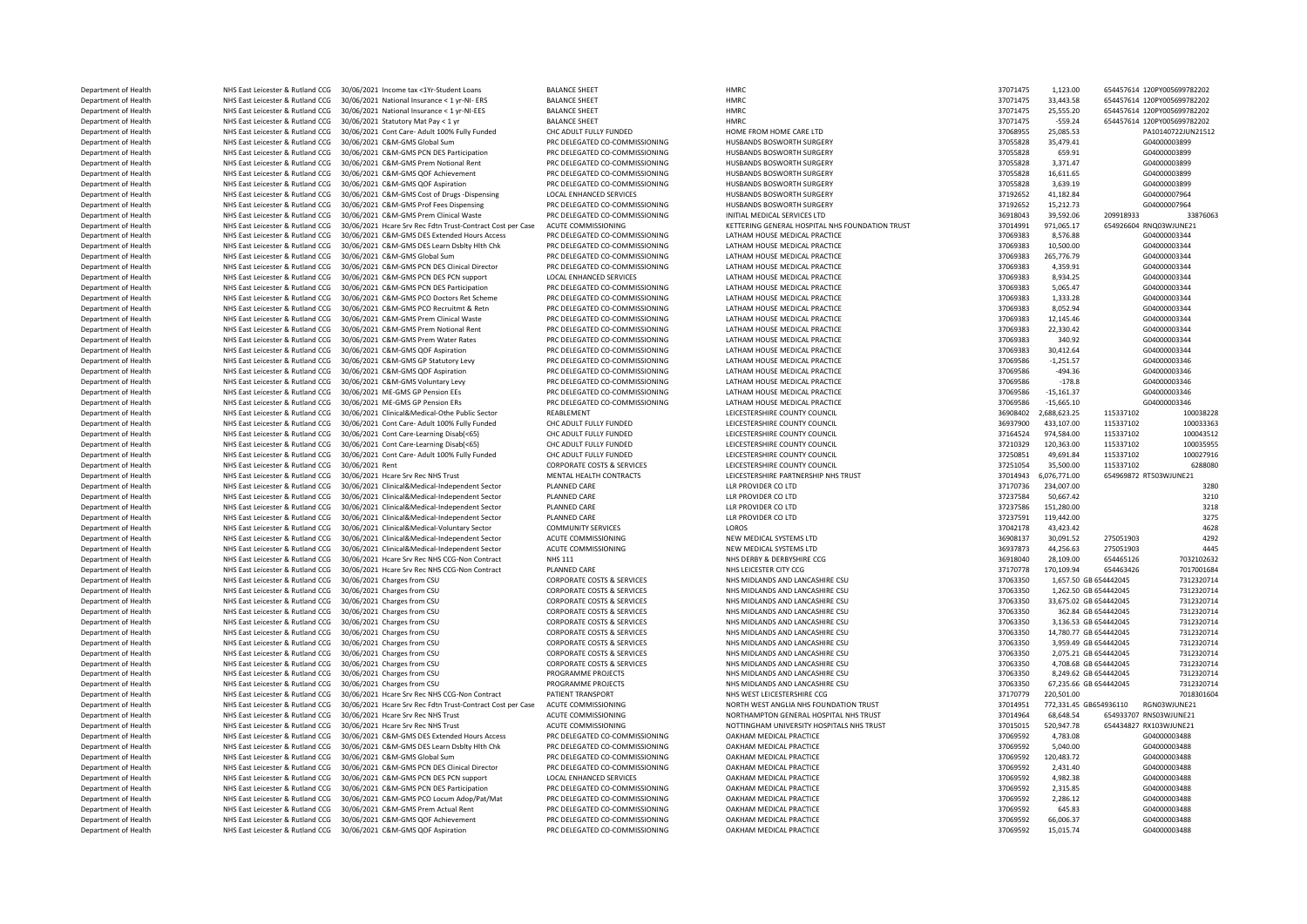Department of Health NHS East Leicester & Rutland CCG 30/06/2021 Income tax <1Yr-Student Loans BALANCE SHEET HMRC HEART HMRC 37071475 1,123.00 654457614 120PY005699782202<br>Department of Health NHS East Leicester & Rutland C Department of Health NHS East Leicester & Rutland CCG 30/06/2021 National Insurance < 1 yr-NI- ERS BALANCE SHEET STATE AND ANNE SAST LEARCE STATE AND ANNE SAST LEARCE STATE AND A STATE AND A STATE STATE OF A STATE AND A S Department of Health NHS East Leicester & Rutland CCG 30/06/2021 National Insurance < 1 yr-NI-EES BALANCE SHEET HMRC 37071475 257.20 65445767614 120PY00714761 25,575.20 65445767614 120Py00714761 120Py00714 120PY00769782020 Department of Health **NHS East Leicester & Rutland CCG** 30/06/2021 Statutory Mat Pay < 1 yr BALANCE SHEET HMRC 37071475 -559.24 659.24 659.24 659.24 659.24 659.24 659.24 659.24 659.24 659.24 659.24 659.24 659.259.259.259.2 Department of Health NHS East Leicester & Rutland CCG 30/06/2021 Cont Care- Adult 100% Fully Funded CHC ADULT FULLY FUNDED HOME TROM HOME CARE LTD 37068957 2021 CAME CARE LTD 37068975 25,0087714 2012 25,085.53 PAC DELEGATE Department of Health NHS East Leicester & Rutland CCG 30/06/2021 C&M-GMS Global Sum PRC DELEGATED CO-COMMISSIONING HUSBANDS BOSWORTH SURGERY 37055828 35,479.41 G04000003899 Department of Health NHS East Leicester & Rutland CCG 30/06/2021 C&M-GMS PCN DES Participation PRC DELEGATED CO-COMMISSIONING HUSBANDS BOSWORTH SURGERY AND FREE ATTENDAM AND FREE ATTENDAM AND RESERVE ATTENDAM AND RESERVE A Department of Health NHS East Leicester & Rutland CCG 30/06/2021 C&M-GMS Prem Notional Rent PRC DELEGATED CO-COMMISSIONING HUSBANDS BOSWORTH SURGERY SURGERY 37066828 3,371.47 CHECGATED CO-COMMISSIONING HUSBANDS BOSWORTH SU Department of Health NHS East Leicester & Rutland CCG 30/06/2021 C&M-GMS QOF Achievement PRC DELEGATED CO-COMMISSIONING HUSBANDS BOSWORTH SURGERY 37056828 16,6211.67 GD400001381 28,811.67 GD40000000000000000000000000000000 Department of Health NHS East Leicester & Rutland CCG 30/06/2021 C&M-GMS QOF Aspiration PRC DELEGATED CO-COMMISSIONING HUSBANDS BOSWORTH SURGERY AND RECHATED CO-COMMISSIONING HUSBANDS BOSWORTH SURGERY AND RESPANDS ROSWORTH Department of Health **NHS East Leicester & Rutland CCG 30/06/2021 C&M-GMS Cost of Drugs -Dispensing LOCAL ENHANCED SERVICES HUSBANDS BOSWORTH SURGERY AND SERVICES (2012) AND SERVICES ARRIVERY 3719262 41,182.84 GOST AND SUR** Department of Health NHS East Leicester & Rutland CCG 30/06/2021 C&M-GMS Prof Fees Dispensing PRC DELEGATED CO-COMMISSIONING HUSBANDS BOSWORTH SURGER<br>Department of Health NHS East Leicester & Rutland CCG 30/06/2021 C&M-GMS Department of Health MHS East Leicester & Rutland CCG 30/06/2021 C&M-GMS Prem Clinical Waste PRC DELEGATED CO-COMMISSIONING INITIAL MEDICAL SERVICES LTD 30,06/2021 39,59/06/2021 33876043 39,592.07 338760 339760 338760 3387 Department of Health NHS East Leicester & Rutland CCG 30/06/2021 Hcare Srv Rec Fdtn Trust-Contract Cost per Case ACUTE COMMISSIONING KETTERING GENERAL HOSPITAL NHS FOUNDATION TRUST 301/06/2021 Hcare Srv Rec Fdtn Trust-Cont Department of Health NHS East Leicester & Rutland CCG 30/06/2021 C&M-GMS DES Extended Hours Access PRC DELEGATED CO-COMMISSIONING LATHAM HOUSE MEDICAL PRACTICE ACCESS PRO ACCESS PRO DETECATED CO-COMMISSIONING LATHAM HOUSE Department of Health NHS East Leicester & Rutland CCG 30/06/2021 C&M-GMS DES Learn Dsblty Hlth Chk PRC DELEGATED CO-COMMISSIONING LATHAM HOUSE MEDICAL PRACTICE 37069383 106 CAME CAME SATT ATHAM HOUSE MEDICAL PRACTICE 37006 Department of Health NHS East Leicester & Rutland CCG 30/06/2021 C&M-GMS Global Sum PRC DELEGATED CO-COMMISSIONING LATHAM HOUSE MEDICAL PRACTICE ATCH AND THE DRIVER AND THE SECTION AND THE STATE OF COMMISSIONING LATHAM HOU Department of Health NHS East Leicester & Rutland CCG 30/06/2021 C&M-GMS PCN DES Clinical Director PRC DELEGATED CO-COMMISSIONING LATHAM HOUSE MEDICAL PRACTICE AND RACTICE AND RESERVED SERVICES SUITE AND RESERVED SERVICES Department of Health NHS East Leicester & Rutland CCG 30/06/2021 C&M-GMS PCN DES PCN support LOCAL ENHANCED SERVICES LATHAM HOUSE MEDICAL PRACTICE<br>Department of Health NHS East Leicester & Rutland CCG 30/06/2021 C&M-GMS PC Department of Health NHS East Leicester & Rutland CCG 30/06/2021 C&M-GMS PCN DES Participation PRC DELEGATED CO-COMMISSIONING LATHAM HOUSE MEDICAL PRACTICE ATCHAM HOUSE MEDICAL PRACTICE 30/06/2021 C&M-GMS PCO Doctors Ret S Department of Health NHS East Leicester & Rutland CCG 30/06/2021 C&M-GMS PCO Doctors Ret Scheme PRC DELEGATED CO-COMMISSIONING LATHAM HOUSE MEDICAL PRACTICE 37069383 1,333.28 G04000334 2,334.28 G04000334 28 G04000000000000 Department of Health NHS East Leicester & Rutland CCG 30/06/2021 C&M-GMS PCO Recruitmt & Retn PRC DELEGATED CO-COMMISSIONING LATHAM HOUSE MEDICAL PRACTICE 30/06/2021 C&M-GMS Prem Clinical Waste PRC DELEGATED CO-COMMISSIONI Department of Health NHS East Leicester & Rutland CCG 30/06/2021 C&M-GMS Prem Clinical Waste PRC DELEGATED CO-COMMISSIONING LATHAM HOUSE MEDICAL PRACTICE 37/06/2021 C&M-GMS Prem Notional Rent PRC DELEGATED CO-COMMISSIONING Department of Health **1992 AMB** NHS East Leicester & Rutland CCG 30/06/2021 C&M-GMS Prem Notional Rent PRC DELEGATED CO-COMMISSIONING LATHAM HOUSE MEDICAL PRACTICE 37 AMB AND FAST LEICES 30/06/2021 C&M-GMS Prem Water Rate DRS East Leicester & Rutland CCG 30/06/2021 C&M-GMS Prem Water Rates Department of Health NHS East Leicester & Rutland CCG 30/06/2021 C&M-GMS QOF Aspiration PRC DELEGATED CO-COMMISSIONING LATHAM HOUSE MEDICAL PRACTICE Department of Health NHS East Leicester & Rutland CCG 30/06/2021 C&M-GMS GP Statutory Levy PRC DELEGATED CO-COMMISSIONING LATHAM HOUSE MEDICAL PRACTICE Department of Health NHS East Leicester & Rutland CCG 30/06/2021 C&M-GMS QOF Aspiration PRC DELEGATED CO-COMMISSIONING LATHAM HOUSE MEDICAL PRACTICE ASSETS AND A SEAST ASSETS A RUN AND A SEAL ARE A SURFAM HOUSE MEDICAL PRA NHS East Leicester & Rutland CCG 30/06/2021 C&M-GMS Voluntary Levy Department of Health NHS East Leicester & Rutland CCG 30/06/2021 ME-GMS GP Pension EEs PRC DELEGATED CO-COMMISSIONING LATHAM HOUSE MEDICAL PRACTICE ARACTICE 30/06/2021 ME-GMS GP Pension ERS PRE DELEGATED CO-COMMISSIONING L Department of Health NHS East Leicester & Rutland CCG 30/06/2021 ME-GMS GP Pension ERs Pension ERS PRC DELEGATED CO-COMMISSIONING LATHAM HOUSE MEDICAL PRACTIC<br>Department of Health NHS East Leicester & Rutland CCG 30/06/202 Department of Health NHS East Leicester & Rutland CCG 30/06/2021 Clinical&Medical-Othe Public Sector REABLEMENT REAGLEMENT LEICESTERSHIRE COUNTY COUNCIL 30908402 2,688,623.25 1153387102 2,688,623.25 1153372.25 115337102 10 Department of Health NHS East Leicester & Rutland CCG 30/06/2021 Cont Care- Adult 100% Fully Funded CHC ADULT FULLY FUNDED LEICESTERSHIRE COUNTY COUNCIL COUNTY COUNCIL 3006/2021 Cont Care-I earning Disable 653,107.00 11533 Department of Health NHS East Leicester & Rutland CCG 30/06/2021 Cont Care-Learning Disab(<65) CHC ADULT FULLY FUNDED LEICESTERSHIRE COUNTY COUNCIL 2010 CHC ADULT FULLY FUNDED LEICESTERSHIRE COUNTY COUNCIL 2010 1154.00 115 Department of Health NHS East Leicester & Rutland CCG 30/06/2021 Cont Care-Learning Disab(<65) CHC ADULT FULLY FUNDED LEICESTERSHIRE COUNTY COUNCIL 372103329 12004 2010 12004 2010 1153371038 12004 2010 115337102 1000359565 Department of Health NHS East Leicester & Rutland CCG 30/06/2021 Cont Care- Adult 100% Fully Funded CHC ADULT FULLY FUNDED LEICESTERSHIRE COUNTY COUNCIL ACTO ADULT FULLY FUNDED LEICESTERSHIRE COUNTY COUNCIL 372506/2021 App Department of Health **NHS East Leicester & Rutland CCG** 30/06/2021 Rent CORPORATE COSTS & SERVICES LEICESTERSHIRE COUNTY COUNCIL 20105/2021 Rent CORPORATE COSTS & SERVICES LEICESTERSHIRE COUNTY COUNCIL 37210554 35,000.00 1 Department of Health NHS East Leicester & Rutland CCG 30/06/2021 Hcare Srv Rec NHS Trust MENTAL HEALTH CONTRACTS LEICESTERSHIRE PARTI<br>Department of Health NHS East Leicester & Rutland CCG 30/06/2021 Clinical&Medical-Indepe Department of Health **MHS East Leicester & Rutland CCG** 30/06/2021 Clinical&Medical-Independent Sector PLANNED CARE LLR PROVIDER CO LTD 37170736 2011 Department of Health 1980 234,007.00 3284,007.00 30706/2021 Clinical&Med Department of Health **NHS East Leicester & Rutland CCG 30/06/2021** Clinical&Medical-Independent Sector PLANNED CARE LLR PROVIDER CO LTD 3737584 50,067.021 Clinical&Medical-Independent Sector PLANNED CARE LLR PROVIDER CO LT Department of Health NHS East Leicester & Rutland CCG 30/06/2021 Clinical&Medical-Independent Sector PLANNED CARE LLR PROVIDER CO LTD 37237586 151,280.00 2017586 151,280.00 3218786 151,280.00 32187586 151,280.00 321876 151 Department of Health NHS East Leicester & Rutland CCG 30/06/2021 Clinical&Medical-Independent Sector PLANNED CARE<br>Department of Health NHS East Leicester & Butland CCG 30/06/2021 Clinical&Medical-Voluntary Sector COMMUNITY Department of Health MHS East Leicester & Rutland CCG 30/06/2021 Clinical&Medical-Voluntary Sector COMMUNITY SERVICES LOROS LOROS LOROS LOROS 2014 2014 2014 44,423.423.423.424 47,423.423.423.423.423.423.423.42 47,423.42 47 Department of Health NHS East Leicester & Rutland CCG 30/06/2021 Clinical&Medical-Independent Sector ACUTE COMMISSIONING NEW MEDICAL SYSTEMS LTD 36908137 30,091.52 30,091.52 2761.52 201.52 30,091.52 2760813903 42922 42922 Department of Health **NHS East Leicester & Rutland CCG 30/06/2021** Clinical&Medical-Independent Sector ACUTE COMMISSIONING NEW MEDICAL SYSTEMS LTD 369378744, 2016 19943 44,256.63 275078744, 2016 44,256.63 275051903 444745 Department Origin NHS East Leicester & Rutland CCG 30/06/2021 Heare Srv Rec NHS CCG-Non Contract Department of Health NHS East Leicester & Rutland CCG 30/06/2021 Hcare Srv Rec NHS CCG-Non Contract PLANNED CARE NHS LEICESTER CITY CCG 3717078 170, 2017078 170, 2017078 170, 2017078 170, 20170178 170, 20170178 70170168447 Department of Health NHS East Leicester & Rutland CCG 30/06/2021 Charges from CSU CORPORATE COSTS & SERVICES NHS MIDLANDS AND LANCASHIRE CSU 3706363625021 Charges from CSU 3707.50 1,657.50 1,657.50 SERVICES NHS MINI AND LA Department of Health NHS East Leicester & Rutland CCG 30/06/2021 Charges from CSU CORPORATE COSTS & SERVICES NHS MIDLANDS AND LANCASHIRE CSU 3706/2021 Charges from CSU CORPORATE COSTS & SERVICES NEW MHS MIDLANDS AND LANCAS NHS East Leicester & Rutland CCG 30/06/2021 Charges from CSU Department of Health NHS East Leicester & Rutland CCG 30/06/2021 Charges from CSU CORPORATE COSTS & SERVICES NHS MIDLANDS AND LANCASHIRE CSU Department of Health NHS East Leicester & Rutland CCG 30/06/2021 Charges from CSU CORPORATE COSTS & SERVICES NHS MIDLANDS AND LANCASHIRE CSU Department of Health NHS East Leicester & Rutland CCG 30/06/2021 Charges from CSU CORPORATE COSTS & SERVICES NHS MIDLANDS AND LANCASHIRE CSU Department of Health NHS East Leicester & Rutland CCG 30/06/2021 Charges from CSU CORPORATE COSTS & SERVICES NHS MIDLANDS AND LANCASHIRE CSU 3706/2021 Charges from CSU CORPORATE COSTS & SERVICES NHS MIDLANDS AND LANCASHIRE Department of Health NHS East Leicester & Rutland CCG 30/06/2021 Charges from CSU 3000 2011 CORPORATE COSTS & SERVICES NURS MIDLANDS AND LANCASHIRE CSU Department of Health NHS East Leicester & Rutland CCG 30/06/2021 Charges from CSU CORPORATE COSTS & SERVICES NHS MIDLANDS AND LANCASHIRE CSU Department of Health NHS East Leicester & Rutland CCG 30/06/2021 Charges from CSU 37066400 8,254 BE 654442045 8,249.62 GB 654442045 8,349.62 GB 654442045 8,349.62 GB 654442045 732320 8,349.62 GB 654442045 73124320714 8,254 Department of Health NHS East Leicester & Rutland CCG 30/06/2021 Charges from CSU PROGRAMME PROJECTS NHS MIDLANDS AND LANCASHIRE CSU Department of Health NHS East Leicester & Rutland CCG 30/06/2021 Hcare Srv Rec NHS CCG-Non Contract PATIENT TRANSPORT NG NHS WEST LEICESTERSHIRE CCG DEVERTENGENT REALTHER ARE ACCULT AND STRUSH ARE ARE ARE ARE ARE ARE ARE A Department of Health NHS East Leicester & Rutland CCG 30/06/2021 Hcare Srv Rec Fdtn Trust-Contract Cost per Case ACUTE COMMISSIONING NORTH WEST ANGLIA NHS TRUST ANGLIA NHS FAST LEICESTER & Rutland CCG 30/06/2021 Hcare Srv Department of Health NHS East Leicester & Rutland CCG 30/06/2021 Hcare Srv Rec NHS Trust ACUTE COMMISSIONING NORTHAMPTON GENERAL HOSPITAL NHS TRUST NORTHAMPTON GENERAL HOSPITAL NHS TRUST 370149702 REG 2001497021 Reg & See Department of Health NHS East Leicester & Rutland CCG 30/06/2021 Hcare Srv Rec NHS Trust ACUTE COMMISSIONING NOTTINGHAM UNIVERSITY HOSPITALS NOTTING ARREST AND A SCUTE SALE AND A SCUTE SALE AND A SCUTE SALE AND A SCUTE SAL Department of Health NHS East Leicester & Rutland CCG 30/06/2021 C&M-GMS DES Extended Hours Access PRC DELEGATED CO-COMMISSIONING Department of Health NHS East Leicester & Rutland CCG 30/06/2021 C&M-GMS DES Learn Dsblty Hlth Chk PRC DELEGATED CO-COMMISSIONING OAKHAM MEDICAL PRACTICE 30/06/2021 C&M-GMS Global Sum PRC DELEGATED CO-COMMISSIONING OAKHAM Department of Health **NHS East Leicester & Rutland CCG 30/06/2021 C&M-GMS Global Sum PRC DELEGATED CO-COMMISSIONING** OAKHAM MEDICAL PRACTICE AT A RUTLE AT A RUTLE AT A RUTLE AT A RUTLE AT A RUTLE AT A RUTLE AT A RUTLE AT A Department of Health NHS East Leicester & Rutland CCG 30/06/2021 C&M-GMS PCN DES Clinical Director PRC DELEGATED CO-COMMISSIONING OAKHAM MEDICAL PRACTICE 30/06/2021 C&M-GMS PCN DES Clinical Director PRC DELEGATED CO-COMMIS DEPARTMENT OF HEALTH NET HEALTH NHS EAST LOCAL ENGINEERS PCN Support LOCAL ENGINEERS PCN support Department of Health NHS East Leicester & Rutland CCG 30/06/2021 C&M-GMS PCN DES Participation PRC DELEGATED CO-COMMISSIONING OAKHAM MEDICAL PRACTICE Department of Health NHS East Leicester & Rutland CCG 30/06/2021 C&M-GMS PCO Locum Adop/Pat/Mat PRC DELEGATED CO-COMMISSIONING OAKHAM MEDICAL PRACTICE Department of Health NHS East Leicester & Rutland CCG 30/06/2021 C&M-GMS Prem Actual Rent PRC DELEGATED CO-COMMISSIONING OAKHAM MEDICAL PRACTICE PRACTICE 30/06/2021 C&M-GMS ODE Achievement PRC DELEGATED CO-COMMISSIONING OA Department of Health NHS East Leicester & Rutland CCG 30/06/2021 C&M-GMS OOF Achievement PRC DELEGATED CO-COMMISSIONING OAKHAM MEDICAL PRACTICE Department of Health NHS East Leicester & Rutland CCG 30/06/2021 C&M-GMS OOF Aspiration PRC DELEGATED CO-COMMISSIONING OAKHAM MEDICAL PRACTICE

| 37071475 |              |                        |                             |
|----------|--------------|------------------------|-----------------------------|
|          | 33,443.58    |                        | 654457614 120PY005699782202 |
| 37071475 | 25,555.20    |                        | 654457614 120PY005699782202 |
| 37071475 | $-559.24$    |                        | 654457614 120PY005699782202 |
| 37068955 | 25,085.53    |                        | PA10140722JUN21512          |
| 37055828 | 35,479.41    |                        | G04000003899                |
| 37055828 | 659.91       |                        | G04000003899                |
| 37055828 | 3,371.47     |                        | G04000003899                |
| 37055828 | 16,611.65    |                        | G04000003899                |
| 37055828 | 3.639.19     |                        | G04000003899                |
| 37192652 | 41.182.84    |                        | G04000007964                |
| 37192652 | 15,212.73    |                        | G04000007964                |
|          |              |                        |                             |
| 36918043 | 39.592.06    | 209918933              | 3387606                     |
| 37014991 | 971,065.17   |                        | 654926604 RNQ03WJUNE21      |
| 37069383 | 8,576.88     |                        | G04000003344                |
| 37069383 | 10.500.00    |                        | G04000003344                |
| 37069383 | 265,776.79   |                        | G04000003344                |
| 37069383 | 4.359.91     |                        | G04000003344                |
| 37069383 | 8.934.25     |                        | G04000003344                |
| 37069383 | 5,065.47     |                        | G04000003344                |
| 37069383 | 1,333.28     |                        | G04000003344                |
| 37069383 | 8.052.94     |                        | G04000003344                |
| 37069383 | 12,145.46    |                        | G04000003344                |
| 37069383 | 22,330.42    |                        | G04000003344                |
| 37069383 | 340.92       |                        | G04000003344                |
| 37069383 | 30,412.64    |                        | G04000003344                |
| 37069586 | $-1,251.57$  |                        | G04000003346                |
| 37069586 | $-494.36$    |                        | G04000003346                |
|          |              |                        |                             |
| 37069586 | $-178.8$     |                        | G04000003346                |
| 37069586 | $-15,161.37$ |                        | G04000003346                |
| 37069586 | $-15,665.10$ |                        | G04000003346                |
| 36908402 | 2,688,623.25 | 115337102              | 10003822                    |
| 36937900 | 433,107.00   | 115337102              | 10003336                    |
| 37164524 | 974,584.00   | 115337102              | 10004351                    |
| 37210329 | 120,363.00   | 115337102              | 10003595                    |
| 37250851 | 49,691.84    | 115337102              | 10002791                    |
| 37251054 | 35,500.00    | 115337102              | 628808                      |
| 37014943 | 6,076,771.00 |                        | 654969872 RT503WJUNE21      |
| 37170736 | 234,007.00   |                        | 328                         |
| 37237584 |              |                        | 321                         |
|          |              |                        |                             |
|          | 50,667.42    |                        |                             |
| 37237586 | 151,280.00   |                        | 321                         |
| 37237591 | 119,442.00   |                        | 327                         |
| 37042178 | 43,423.42    |                        | 462                         |
| 36908137 | 30,091.52    | 275051903              | 429                         |
| 36937873 | 44,256.63    | 275051903              | 444                         |
| 36918040 | 28,109.00    | 654465126              | 703210263                   |
| 37170778 | 170,109.94   | 654463426              | 701700168                   |
| 37063350 |              | 1,657.50 GB 654442045  | 731232071                   |
| 37063350 |              | 1,262.50 GB 654442045  | 731232071                   |
| 37063350 |              | 33,675.02 GB 654442045 | 731232071                   |
| 37063350 |              | 362.84 GB 654442045    | 731232071                   |
| 37063350 |              | 3,136.53 GB 654442045  | 731232071                   |
| 37063350 |              | 14,780.77 GB 654442045 | 731232071                   |
| 37063350 |              | 3,959.49 GB 654442045  | 731232071                   |
| 37063350 |              | 2,075.21 GB 654442045  | 731232071                   |
| 37063350 |              | 4,708.68 GB 654442045  | 731232071                   |
| 37063350 |              |                        | 731232071                   |
|          |              | 8,249.62 GB 654442045  |                             |
| 37063350 |              | 67,235.66 GB 654442045 | 731232071                   |
| 37170779 | 220.501.00   |                        | 701830160                   |
| 37014951 |              | 772,331.45 GB654936110 | RGN03WJUNE21                |
| 37014964 | 68,648.54    |                        | 654933707 RNS03WJUNE21      |
| 37015015 | 520,947.78   |                        | 654434827 RX103WJUNE21      |
| 37069592 | 4,783.08     |                        | G04000003488                |
| 37069592 | 5.040.00     |                        | G04000003488                |
| 37069592 | 120,483.72   |                        | G04000003488                |
| 37069592 | 2,431.40     |                        | G04000003488                |
| 37069592 | 4,982.38     |                        | G04000003488                |
| 37069592 | 2,315.85     |                        | G04000003488                |
| 37069592 | 2.286.12     |                        | G04000003488                |
| 37069592 | 645.83       |                        | G04000003488                |
| 37069592 | 66,006.37    |                        | G04000003488                |
| 37069592 | 15,015.74    |                        | G04000003488                |